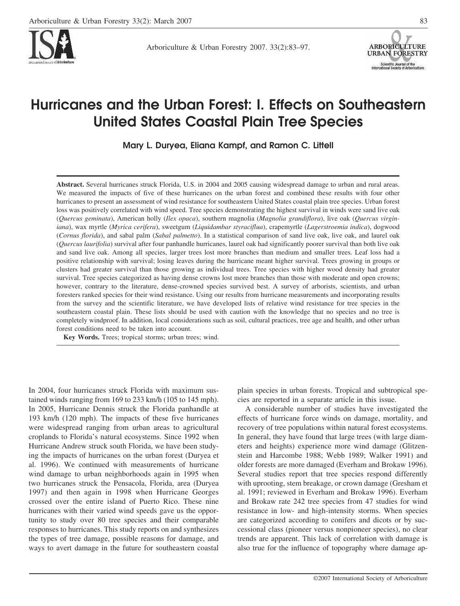

Arboriculture & Urban Forestry 2007. 33(2):83–97.



# **Hurricanes and the Urban Forest: I. Effects on Southeastern United States Coastal Plain Tree Species**

**Mary L. Duryea, Eliana Kampf, and Ramon C. Littell**

**Abstract.** Several hurricanes struck Florida, U.S. in 2004 and 2005 causing widespread damage to urban and rural areas. We measured the impacts of five of these hurricanes on the urban forest and combined these results with four other hurricanes to present an assessment of wind resistance for southeastern United States coastal plain tree species. Urban forest loss was positively correlated with wind speed. Tree species demonstrating the highest survival in winds were sand live oak (*Quercus geminata*), American holly (*Ilex opaca*), southern magnolia (*Magnolia grandiflora*), live oak (*Quercus virginiana*), wax myrtle (*Myrica cerifera*), sweetgum (*Liquidambar styraciflua*), crapemyrtle (*Lagerstroemia indica*), dogwood (*Cornus florida*), and sabal palm (*Sabal palmetto*). In a statistical comparison of sand live oak, live oak, and laurel oak (*Quercus laurifolia*) survival after four panhandle hurricanes, laurel oak had significantly poorer survival than both live oak and sand live oak. Among all species, larger trees lost more branches than medium and smaller trees. Leaf loss had a positive relationship with survival; losing leaves during the hurricane meant higher survival. Trees growing in groups or clusters had greater survival than those growing as individual trees. Tree species with higher wood density had greater survival. Tree species categorized as having dense crowns lost more branches than those with moderate and open crowns; however, contrary to the literature, dense-crowned species survived best. A survey of arborists, scientists, and urban foresters ranked species for their wind resistance. Using our results from hurricane measurements and incorporating results from the survey and the scientific literature, we have developed lists of relative wind resistance for tree species in the southeastern coastal plain. These lists should be used with caution with the knowledge that no species and no tree is completely windproof. In addition, local considerations such as soil, cultural practices, tree age and health, and other urban forest conditions need to be taken into account.

**Key Words.** Trees; tropical storms; urban trees; wind.

In 2004, four hurricanes struck Florida with maximum sustained winds ranging from 169 to 233 km/h (105 to 145 mph). In 2005, Hurricane Dennis struck the Florida panhandle at 193 km/h (120 mph). The impacts of these five hurricanes were widespread ranging from urban areas to agricultural croplands to Florida's natural ecosystems. Since 1992 when Hurricane Andrew struck south Florida, we have been studying the impacts of hurricanes on the urban forest (Duryea et al. 1996). We continued with measurements of hurricane wind damage to urban neighborhoods again in 1995 when two hurricanes struck the Pensacola, Florida, area (Duryea 1997) and then again in 1998 when Hurricane Georges crossed over the entire island of Puerto Rico. These nine hurricanes with their varied wind speeds gave us the opportunity to study over 80 tree species and their comparable responses to hurricanes. This study reports on and synthesizes the types of tree damage, possible reasons for damage, and ways to avert damage in the future for southeastern coastal

plain species in urban forests. Tropical and subtropical species are reported in a separate article in this issue.

A considerable number of studies have investigated the effects of hurricane force winds on damage, mortality, and recovery of tree populations within natural forest ecosystems. In general, they have found that large trees (with large diameters and heights) experience more wind damage (Glitzenstein and Harcombe 1988; Webb 1989; Walker 1991) and older forests are more damaged (Everham and Brokaw 1996). Several studies report that tree species respond differently with uprooting, stem breakage, or crown damage (Gresham et al. 1991; reviewed in Everham and Brokaw 1996). Everham and Brokaw rate 242 tree species from 47 studies for wind resistance in low- and high-intensity storms. When species are categorized according to conifers and dicots or by successional class (pioneer versus nonpioneer species), no clear trends are apparent. This lack of correlation with damage is also true for the influence of topography where damage ap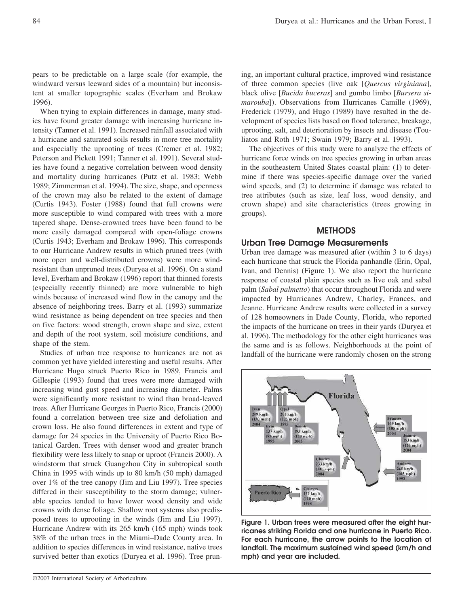pears to be predictable on a large scale (for example, the windward versus leeward sides of a mountain) but inconsistent at smaller topographic scales (Everham and Brokaw 1996).

When trying to explain differences in damage, many studies have found greater damage with increasing hurricane intensity (Tanner et al. 1991). Increased rainfall associated with a hurricane and saturated soils results in more tree mortality and especially the uprooting of trees (Cremer et al. 1982; Peterson and Pickett 1991; Tanner et al. 1991). Several studies have found a negative correlation between wood density and mortality during hurricanes (Putz et al. 1983; Webb 1989; Zimmerman et al. 1994). The size, shape, and openness of the crown may also be related to the extent of damage (Curtis 1943). Foster (1988) found that full crowns were more susceptible to wind compared with trees with a more tapered shape. Dense-crowned trees have been found to be more easily damaged compared with open-foliage crowns (Curtis 1943; Everham and Brokaw 1996). This corresponds to our Hurricane Andrew results in which pruned trees (with more open and well-distributed crowns) were more windresistant than unpruned trees (Duryea et al. 1996). On a stand level, Everham and Brokaw (1996) report that thinned forests (especially recently thinned) are more vulnerable to high winds because of increased wind flow in the canopy and the absence of neighboring trees. Barry et al. (1993) summarize wind resistance as being dependent on tree species and then on five factors: wood strength, crown shape and size, extent and depth of the root system, soil moisture conditions, and shape of the stem.

Studies of urban tree response to hurricanes are not as common yet have yielded interesting and useful results. After Hurricane Hugo struck Puerto Rico in 1989, Francis and Gillespie (1993) found that trees were more damaged with increasing wind gust speed and increasing diameter. Palms were significantly more resistant to wind than broad-leaved trees. After Hurricane Georges in Puerto Rico, Francis (2000) found a correlation between tree size and defoliation and crown loss. He also found differences in extent and type of damage for 24 species in the University of Puerto Rico Botanical Garden. Trees with denser wood and greater branch flexibility were less likely to snap or uproot (Francis 2000). A windstorm that struck Guangzhou City in subtropical south China in 1995 with winds up to 80 km/h (50 mph) damaged over 1% of the tree canopy (Jim and Liu 1997). Tree species differed in their susceptibility to the storm damage; vulnerable species tended to have lower wood density and wide crowns with dense foliage. Shallow root systems also predisposed trees to uprooting in the winds (Jim and Liu 1997). Hurricane Andrew with its 265 km/h (165 mph) winds took 38% of the urban trees in the Miami–Dade County area. In addition to species differences in wind resistance, native trees survived better than exotics (Duryea et al. 1996). Tree pruning, an important cultural practice, improved wind resistance of three common species (live oak [*Quercus virginiana*], black olive [*Bucida buceras*] and gumbo limbo [*Bursera simarouba*]). Observations from Hurricanes Camille (1969), Frederick (1979), and Hugo (1989) have resulted in the development of species lists based on flood tolerance, breakage, uprooting, salt, and deterioration by insects and disease (Touliatos and Roth 1971; Swain 1979; Barry et al. 1993).

The objectives of this study were to analyze the effects of hurricane force winds on tree species growing in urban areas in the southeastern United States coastal plain: (1) to determine if there was species-specific damage over the varied wind speeds, and (2) to determine if damage was related to tree attributes (such as size, leaf loss, wood density, and crown shape) and site characteristics (trees growing in groups).

# **METHODS**

## **Urban Tree Damage Measurements**

Urban tree damage was measured after (within 3 to 6 days) each hurricane that struck the Florida panhandle (Erin, Opal, Ivan, and Dennis) (Figure 1). We also report the hurricane response of coastal plain species such as live oak and sabal palm (*Sabal palmetto*) that occur throughout Florida and were impacted by Hurricanes Andrew, Charley, Frances, and Jeanne. Hurricane Andrew results were collected in a survey of 128 homeowners in Dade County, Florida, who reported the impacts of the hurricane on trees in their yards (Duryea et al. 1996). The methodology for the other eight hurricanes was the same and is as follows. Neighborhoods at the point of landfall of the hurricane were randomly chosen on the strong



**Figure 1. Urban trees were measured after the eight hurricanes striking Florida and one hurricane in Puerto Rico. For each hurricane, the arrow points to the location of landfall. The maximum sustained wind speed (km/h and mph) and year are included.**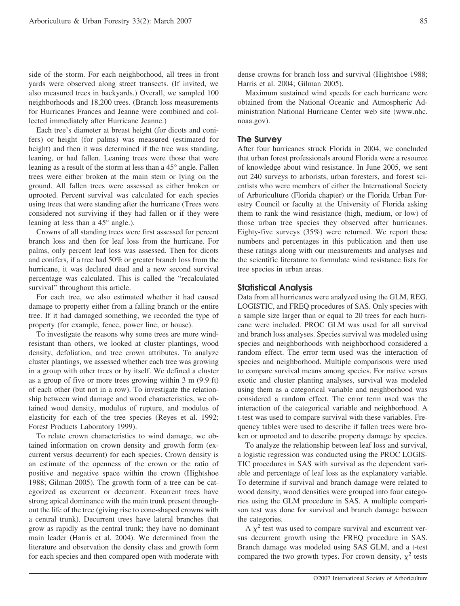side of the storm. For each neighborhood, all trees in front yards were observed along street transects. (If invited, we also measured trees in backyards.) Overall, we sampled 100 neighborhoods and 18,200 trees. (Branch loss measurements for Hurricanes Frances and Jeanne were combined and collected immediately after Hurricane Jeanne.)

Each tree's diameter at breast height (for dicots and conifers) or height (for palms) was measured (estimated for height) and then it was determined if the tree was standing, leaning, or had fallen. Leaning trees were those that were leaning as a result of the storm at less than a 45° angle. Fallen trees were either broken at the main stem or lying on the ground. All fallen trees were assessed as either broken or uprooted. Percent survival was calculated for each species using trees that were standing after the hurricane (Trees were considered not surviving if they had fallen or if they were leaning at less than a 45° angle.).

Crowns of all standing trees were first assessed for percent branch loss and then for leaf loss from the hurricane. For palms, only percent leaf loss was assessed. Then for dicots and conifers, if a tree had 50% or greater branch loss from the hurricane, it was declared dead and a new second survival percentage was calculated. This is called the "recalculated survival" throughout this article.

For each tree, we also estimated whether it had caused damage to property either from a falling branch or the entire tree. If it had damaged something, we recorded the type of property (for example, fence, power line, or house).

To investigate the reasons why some trees are more windresistant than others, we looked at cluster plantings, wood density, defoliation, and tree crown attributes. To analyze cluster plantings, we assessed whether each tree was growing in a group with other trees or by itself. We defined a cluster as a group of five or more trees growing within 3 m (9.9 ft) of each other (but not in a row). To investigate the relationship between wind damage and wood characteristics, we obtained wood density, modulus of rupture, and modulus of elasticity for each of the tree species (Reyes et al. 1992; Forest Products Laboratory 1999).

To relate crown characteristics to wind damage, we obtained information on crown density and growth form (excurrent versus decurrent) for each species. Crown density is an estimate of the openness of the crown or the ratio of positive and negative space within the crown (Hightshoe 1988; Gilman 2005). The growth form of a tree can be categorized as excurrent or decurrent. Excurrent trees have strong apical dominance with the main trunk present throughout the life of the tree (giving rise to cone-shaped crowns with a central trunk). Decurrent trees have lateral branches that grow as rapidly as the central trunk; they have no dominant main leader (Harris et al. 2004). We determined from the literature and observation the density class and growth form for each species and then compared open with moderate with dense crowns for branch loss and survival (Hightshoe 1988; Harris et al. 2004; Gilman 2005).

Maximum sustained wind speeds for each hurricane were obtained from the National Oceanic and Atmospheric Administration National Hurricane Center web site (www.nhc. noaa.gov).

#### **The Survey**

After four hurricanes struck Florida in 2004, we concluded that urban forest professionals around Florida were a resource of knowledge about wind resistance. In June 2005, we sent out 240 surveys to arborists, urban foresters, and forest scientists who were members of either the International Society of Arboriculture (Florida chapter) or the Florida Urban Forestry Council or faculty at the University of Florida asking them to rank the wind resistance (high, medium, or low) of those urban tree species they observed after hurricanes. Eighty-five surveys (35%) were returned. We report these numbers and percentages in this publication and then use these ratings along with our measurements and analyses and the scientific literature to formulate wind resistance lists for tree species in urban areas.

#### **Statistical Analysis**

Data from all hurricanes were analyzed using the GLM, REG, LOGISTIC, and FREQ procedures of SAS. Only species with a sample size larger than or equal to 20 trees for each hurricane were included. PROC GLM was used for all survival and branch loss analyses. Species survival was modeled using species and neighborhoods with neighborhood considered a random effect. The error term used was the interaction of species and neighborhood. Multiple comparisons were used to compare survival means among species. For native versus exotic and cluster planting analyses, survival was modeled using them as a categorical variable and neighborhood was considered a random effect. The error term used was the interaction of the categorical variable and neighborhood. A t-test was used to compare survival with these variables. Frequency tables were used to describe if fallen trees were broken or uprooted and to describe property damage by species.

To analyze the relationship between leaf loss and survival, a logistic regression was conducted using the PROC LOGIS-TIC procedures in SAS with survival as the dependent variable and percentage of leaf loss as the explanatory variable. To determine if survival and branch damage were related to wood density, wood densities were grouped into four categories using the GLM procedure in SAS. A multiple comparison test was done for survival and branch damage between the categories.

A  $\chi^2$  test was used to compare survival and excurrent versus decurrent growth using the FREQ procedure in SAS. Branch damage was modeled using SAS GLM, and a t-test compared the two growth types. For crown density,  $\chi^2$  tests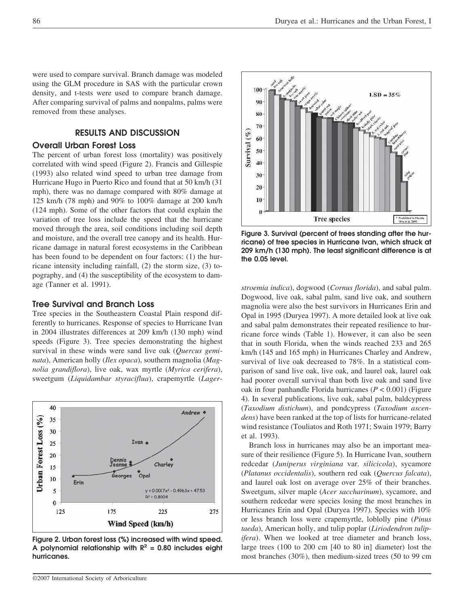were used to compare survival. Branch damage was modeled using the GLM procedure in SAS with the particular crown density, and t-tests were used to compare branch damage. After comparing survival of palms and nonpalms, palms were removed from these analyses.

# **RESULTS AND DISCUSSION**

## **Overall Urban Forest Loss**

The percent of urban forest loss (mortality) was positively correlated with wind speed (Figure 2). Francis and Gillespie (1993) also related wind speed to urban tree damage from Hurricane Hugo in Puerto Rico and found that at 50 km/h (31 mph), there was no damage compared with 80% damage at 125 km/h (78 mph) and 90% to 100% damage at 200 km/h (124 mph). Some of the other factors that could explain the variation of tree loss include the speed that the hurricane moved through the area, soil conditions including soil depth and moisture, and the overall tree canopy and its health. Hurricane damage in natural forest ecosystems in the Caribbean has been found to be dependent on four factors: (1) the hurricane intensity including rainfall, (2) the storm size, (3) topography, and (4) the susceptibility of the ecosystem to damage (Tanner et al. 1991).

#### **Tree Survival and Branch Loss**

Tree species in the Southeastern Coastal Plain respond differently to hurricanes. Response of species to Hurricane Ivan in 2004 illustrates differences at 209 km/h (130 mph) wind speeds (Figure 3). Tree species demonstrating the highest survival in these winds were sand live oak (*Quercus geminata*), American holly (*Ilex opaca*), southern magnolia (*Magnolia grandiflora*), live oak, wax myrtle (*Myrica cerifera*), sweetgum (*Liquidambar styraciflua*), crapemyrtle (*Lager-*



**Figure 2. Urban forest loss (%) increased with wind speed.** A polynomial relationship with  $R^2 = 0.80$  includes eight **hurricanes.**



**Figure 3. Survival (percent of trees standing after the hurricane) of tree species in Hurricane Ivan, which struck at 209 km/h (130 mph). The least significant difference is at the 0.05 level.**

*stroemia indica*), dogwood (*Cornus florida*), and sabal palm. Dogwood, live oak, sabal palm, sand live oak, and southern magnolia were also the best survivors in Hurricanes Erin and Opal in 1995 (Duryea 1997). A more detailed look at live oak and sabal palm demonstrates their repeated resilience to hurricane force winds (Table 1). However, it can also be seen that in south Florida, when the winds reached 233 and 265 km/h (145 and 165 mph) in Hurricanes Charley and Andrew, survival of live oak decreased to 78%. In a statistical comparison of sand live oak, live oak, and laurel oak, laurel oak had poorer overall survival than both live oak and sand live oak in four panhandle Florida hurricanes (*P* < 0.001) (Figure 4). In several publications, live oak, sabal palm, baldcypress (*Taxodium distichum*), and pondcypress (*Taxodium ascendens*) have been ranked at the top of lists for hurricane-related wind resistance (Touliatos and Roth 1971; Swain 1979; Barry et al. 1993).

Branch loss in hurricanes may also be an important measure of their resilience (Figure 5). In Hurricane Ivan, southern redcedar (*Juniperus virginiana* var. *silicicola*), sycamore (*Platanus occidentalis*), southern red oak (*Quercus falcata*), and laurel oak lost on average over 25% of their branches. Sweetgum, silver maple (*Acer saccharinum*), sycamore, and southern redcedar were species losing the most branches in Hurricanes Erin and Opal (Duryea 1997). Species with 10% or less branch loss were crapemyrtle, loblolly pine (*Pinus taeda*), American holly, and tulip poplar (*Liriodendron tulipifera*). When we looked at tree diameter and branch loss, large trees (100 to 200 cm [40 to 80 in] diameter) lost the most branches (30%), then medium-sized trees (50 to 99 cm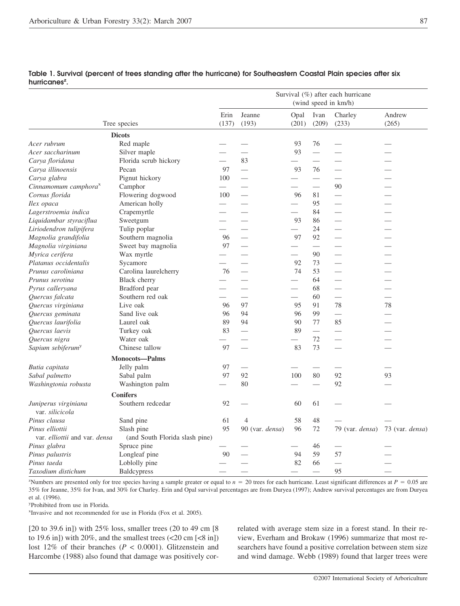|                                  |                                | Survival (%) after each hurricane<br>(wind speed in km/h) |                                                                                                                                                                                                                                |                          |                          |                 |                 |
|----------------------------------|--------------------------------|-----------------------------------------------------------|--------------------------------------------------------------------------------------------------------------------------------------------------------------------------------------------------------------------------------|--------------------------|--------------------------|-----------------|-----------------|
|                                  |                                |                                                           |                                                                                                                                                                                                                                |                          |                          |                 |                 |
|                                  |                                | Erin                                                      | Jeanne                                                                                                                                                                                                                         | Opal                     | Ivan                     | Charley         | Andrew          |
|                                  | Tree species                   | (137)                                                     | (193)                                                                                                                                                                                                                          | (201)                    | (209)                    | (233)           | (265)           |
|                                  | <b>Dicots</b>                  |                                                           |                                                                                                                                                                                                                                |                          |                          |                 |                 |
| Acer rubrum                      | Red maple                      |                                                           |                                                                                                                                                                                                                                | 93                       | 76                       |                 |                 |
| Acer saccharinum                 | Silver maple                   |                                                           |                                                                                                                                                                                                                                | 93                       |                          |                 |                 |
| Carva floridana                  | Florida scrub hickory          | $\qquad \qquad$                                           | 83                                                                                                                                                                                                                             | $\overline{\phantom{0}}$ | $\overline{\phantom{0}}$ |                 |                 |
| Carya illinoensis                | Pecan                          | 97                                                        | ш,                                                                                                                                                                                                                             | 93                       | 76                       |                 |                 |
| Carya glabra                     | Pignut hickory                 | 100                                                       |                                                                                                                                                                                                                                | $\overline{\phantom{0}}$ |                          |                 |                 |
| Cinnamomum camphora <sup>x</sup> | Camphor                        |                                                           | and the contract of the contract of the contract of the contract of the contract of the contract of the contract of the contract of the contract of the contract of the contract of the contract of the contract of the contra |                          | ш,                       | 90              |                 |
| Cornus florida                   | Flowering dogwood              | 100                                                       |                                                                                                                                                                                                                                | 96                       | 81                       |                 |                 |
| Ilex opaca                       | American holly                 |                                                           |                                                                                                                                                                                                                                | $\overline{\phantom{0}}$ | 95                       |                 |                 |
| Lagerstroemia indica             | Crapemyrtle                    |                                                           |                                                                                                                                                                                                                                |                          | 84                       |                 |                 |
| Liquidambar styraciflua          | Sweetgum                       |                                                           |                                                                                                                                                                                                                                | 93                       | 86                       |                 |                 |
| Liriodendron tulipifera          | Tulip poplar                   |                                                           |                                                                                                                                                                                                                                | $\overline{\phantom{0}}$ | 24                       |                 |                 |
| Magnolia grandifolia             | Southern magnolia              | 96                                                        |                                                                                                                                                                                                                                | 97                       | 92                       |                 |                 |
| Magnolia virginiana              | Sweet bay magnolia             | 97                                                        |                                                                                                                                                                                                                                | $\overline{\phantom{0}}$ | $\qquad \qquad$          |                 |                 |
| Myrica cerifera                  | Wax myrtle                     |                                                           |                                                                                                                                                                                                                                |                          | 90                       |                 |                 |
| Platanus occidentalis            | Sycamore                       |                                                           |                                                                                                                                                                                                                                | 92                       | 73                       |                 |                 |
| Prunus caroliniana               | Carolina laurelcherry          | 76                                                        |                                                                                                                                                                                                                                | 74                       | 53                       |                 |                 |
| Prunus serotina                  | Black cherry                   |                                                           |                                                                                                                                                                                                                                |                          | 64                       |                 |                 |
| Pyrus calleryana                 | Bradford pear                  |                                                           |                                                                                                                                                                                                                                | $\overline{\phantom{0}}$ | 68                       |                 |                 |
| Quercus falcata                  | Southern red oak               |                                                           |                                                                                                                                                                                                                                |                          | 60                       |                 |                 |
| Quercus virginiana               | Live oak                       | 96                                                        | 97                                                                                                                                                                                                                             | 95                       | 91                       | 78              | 78              |
| Quercus geminata                 | Sand live oak                  | 96                                                        | 94                                                                                                                                                                                                                             | 96                       | 99                       |                 |                 |
| Quercus laurifolia               | Laurel oak                     | 89                                                        | 94                                                                                                                                                                                                                             | 90                       | 77                       | 85              |                 |
| Quercus laevis                   | Turkey oak                     | 83                                                        | $\frac{1}{2}$                                                                                                                                                                                                                  | 89                       | $\equiv$                 | $\qquad \qquad$ |                 |
| Quercus nigra                    | Water oak                      |                                                           |                                                                                                                                                                                                                                | $\overline{\phantom{0}}$ | 72                       |                 |                 |
| Sapium sebiferum <sup>y</sup>    | Chinese tallow                 | 97                                                        | $\sim$                                                                                                                                                                                                                         | 83                       | 73                       |                 | $\sim$          |
|                                  | <b>Monocots-Palms</b>          |                                                           |                                                                                                                                                                                                                                |                          |                          |                 |                 |
| Butia capitata                   | Jelly palm                     | 97                                                        |                                                                                                                                                                                                                                |                          |                          |                 |                 |
| Sabal palmetto                   | Sabal palm                     | 97                                                        | 92                                                                                                                                                                                                                             | 100                      | 80                       | 92              | 93              |
| Washingtonia robusta             | Washington palm                |                                                           | 80                                                                                                                                                                                                                             |                          |                          | 92              |                 |
|                                  | <b>Conifers</b>                |                                                           |                                                                                                                                                                                                                                |                          |                          |                 |                 |
| Juniperus virginiana             | Southern redcedar              | 92                                                        |                                                                                                                                                                                                                                | 60                       | 61                       |                 |                 |
| var. silicicola                  |                                |                                                           |                                                                                                                                                                                                                                |                          |                          |                 |                 |
| Pinus clausa                     | Sand pine                      | 61                                                        | $\overline{4}$                                                                                                                                                                                                                 | 58                       | 48                       |                 |                 |
| Pinus elliottii                  | Slash pine                     | 95                                                        | 90 (var. densa)                                                                                                                                                                                                                | 96                       | 72                       | 79 (var. densa) | 73 (var. densa) |
| var. elliottii and var. densa    | (and South Florida slash pine) |                                                           |                                                                                                                                                                                                                                |                          |                          |                 |                 |
| Pinus glabra                     | Spruce pine                    |                                                           |                                                                                                                                                                                                                                |                          | 46                       |                 |                 |
| Pinus palustris                  | Longleaf pine                  | 90                                                        |                                                                                                                                                                                                                                | 94                       | 59                       | 57              |                 |
| Pinus taeda                      | Loblolly pine                  |                                                           |                                                                                                                                                                                                                                | 82                       | 66                       |                 |                 |
| Taxodium distichum               | Baldcypress                    |                                                           |                                                                                                                                                                                                                                |                          |                          | 95              |                 |

## **Table 1. Survival (percent of trees standing after the hurricane) for Southeastern Coastal Plain species after six** hurricanes<sup>z</sup>.

"Numbers are presented only for tree species having a sample greater or equal to  $n = 20$  trees for each hurricane. Least significant differences at  $P = 0.05$  are 35% for Jeanne, 35% for Ivan, and 30% for Charley. Erin and Opal survival percentages are from Duryea (1997); Andrew survival percentages are from Duryea et al. (1996).

y Prohibited from use in Florida.

x Invasive and not recommended for use in Florida (Fox et al. 2005).

[20 to 39.6 in]) with 25% loss, smaller trees (20 to 49 cm [8 to 19.6 in]) with 20%, and the smallest trees  $\left($  <20 cm  $\left[$  <8 in]) lost 12% of their branches (*P* < 0.0001). Glitzenstein and Harcombe (1988) also found that damage was positively correlated with average stem size in a forest stand. In their review, Everham and Brokaw (1996) summarize that most researchers have found a positive correlation between stem size and wind damage. Webb (1989) found that larger trees were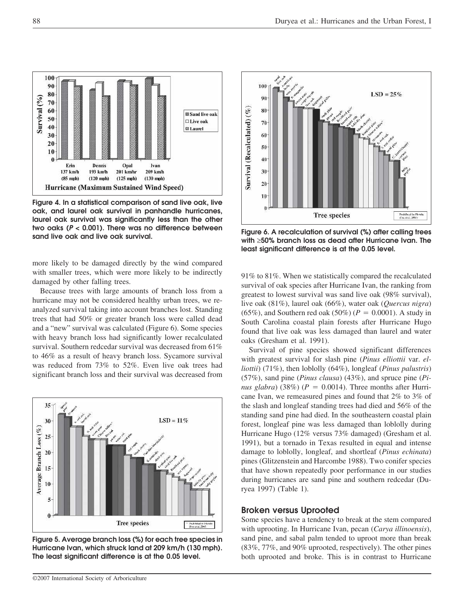

**Figure 4. In a statistical comparison of sand live oak, live oak, and laurel oak survival in panhandle hurricanes, laurel oak survival was significantly less than the other two oaks (***P* **< 0.001). There was no difference between**

more likely to be damaged directly by the wind compared with smaller trees, which were more likely to be indirectly damaged by other falling trees.

Because trees with large amounts of branch loss from a hurricane may not be considered healthy urban trees, we reanalyzed survival taking into account branches lost. Standing trees that had 50% or greater branch loss were called dead and a "new" survival was calculated (Figure 6). Some species with heavy branch loss had significantly lower recalculated survival. Southern redcedar survival was decreased from 61% to 46% as a result of heavy branch loss. Sycamore survival was reduced from 73% to 52%. Even live oak trees had significant branch loss and their survival was decreased from



**Figure 5. Average branch loss (%) for each tree species in Hurricane Ivan, which struck land at 209 km/h (130 mph). The least significant difference is at the 0.05 level.**



**sand live oak and live oak survival. Figure 6. A recalculation of survival (%) after calling trees with** ≥**50% branch loss as dead after Hurricane Ivan. The least significant difference is at the 0.05 level.**

91% to 81%. When we statistically compared the recalculated survival of oak species after Hurricane Ivan, the ranking from greatest to lowest survival was sand live oak (98% survival), live oak (81%), laurel oak (66%), water oak (*Quercus nigra*) (65%), and Southern red oak (50%) ( $P = 0.0001$ ). A study in South Carolina coastal plain forests after Hurricane Hugo found that live oak was less damaged than laurel and water oaks (Gresham et al. 1991).

Survival of pine species showed significant differences with greatest survival for slash pine (*Pinus elliottii* var. *elliottii*) (71%), then loblolly (64%), longleaf (*Pinus palustris*) (57%), sand pine (*Pinus clausa*) (43%), and spruce pine (*Pinus glabra*) (38%) ( $P = 0.0014$ ). Three months after Hurricane Ivan, we remeasured pines and found that 2% to 3% of the slash and longleaf standing trees had died and 56% of the standing sand pine had died. In the southeastern coastal plain forest, longleaf pine was less damaged than loblolly during Hurricane Hugo (12% versus 73% damaged) (Gresham et al. 1991), but a tornado in Texas resulted in equal and intense damage to loblolly, longleaf, and shortleaf (*Pinus echinata*) pines (Glitzenstein and Harcombe 1988). Two conifer species that have shown repeatedly poor performance in our studies during hurricanes are sand pine and southern redcedar (Duryea 1997) (Table 1).

#### **Broken versus Uprooted**

Some species have a tendency to break at the stem compared with uprooting. In Hurricane Ivan, pecan (*Carya illinoensis*), sand pine, and sabal palm tended to uproot more than break (83%, 77%, and 90% uprooted, respectively). The other pines both uprooted and broke. This is in contrast to Hurricane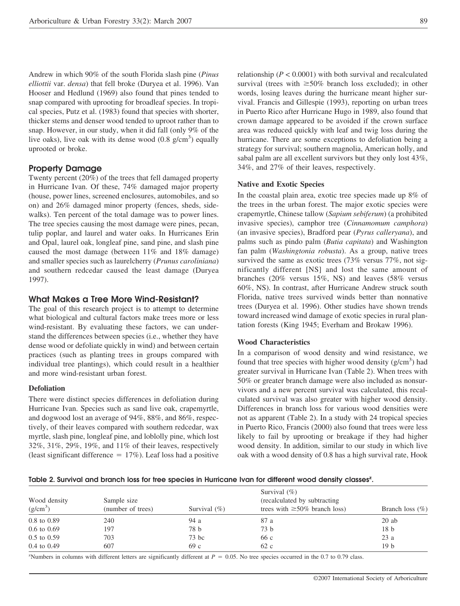Andrew in which 90% of the south Florida slash pine (*Pinus elliottii* var. *densa*) that fell broke (Duryea et al. 1996). Van Hooser and Hedlund (1969) also found that pines tended to snap compared with uprooting for broadleaf species. In tropical species, Putz et al. (1983) found that species with shorter, thicker stems and denser wood tended to uproot rather than to snap. However, in our study, when it did fall (only 9% of the live oaks), live oak with its dense wood  $(0.8 \text{ g/cm}^3)$  equally uprooted or broke.

## **Property Damage**

Twenty percent (20%) of the trees that fell damaged property in Hurricane Ivan. Of these, 74% damaged major property (house, power lines, screened enclosures, automobiles, and so on) and 26% damaged minor property (fences, sheds, sidewalks). Ten percent of the total damage was to power lines. The tree species causing the most damage were pines, pecan, tulip poplar, and laurel and water oaks. In Hurricanes Erin and Opal, laurel oak, longleaf pine, sand pine, and slash pine caused the most damage (between 11% and 18% damage) and smaller species such as laurelcherry (*Prunus caroliniana*) and southern redcedar caused the least damage (Duryea 1997).

## **What Makes a Tree More Wind-Resistant?**

The goal of this research project is to attempt to determine what biological and cultural factors make trees more or less wind-resistant. By evaluating these factors, we can understand the differences between species (i.e., whether they have dense wood or defoliate quickly in wind) and between certain practices (such as planting trees in groups compared with individual tree plantings), which could result in a healthier and more wind-resistant urban forest.

#### **Defoliation**

There were distinct species differences in defoliation during Hurricane Ivan. Species such as sand live oak, crapemyrtle, and dogwood lost an average of 94%, 88%, and 86%, respectively, of their leaves compared with southern redcedar, wax myrtle, slash pine, longleaf pine, and loblolly pine, which lost 32%, 31%, 29%, 19%, and 11% of their leaves, respectively (least significant difference  $= 17\%$ ). Leaf loss had a positive relationship ( $P < 0.0001$ ) with both survival and recalculated survival (trees with  $\geq 50\%$  branch loss excluded); in other words, losing leaves during the hurricane meant higher survival. Francis and Gillespie (1993), reporting on urban trees in Puerto Rico after Hurricane Hugo in 1989, also found that crown damage appeared to be avoided if the crown surface area was reduced quickly with leaf and twig loss during the hurricane. There are some exceptions to defoliation being a strategy for survival; southern magnolia, American holly, and sabal palm are all excellent survivors but they only lost 43%, 34%, and 27% of their leaves, respectively.

#### **Native and Exotic Species**

In the coastal plain area, exotic tree species made up 8% of the trees in the urban forest. The major exotic species were crapemyrtle, Chinese tallow (*Sapium sebiferum*) (a prohibited invasive species), camphor tree (*Cinnamomum camphora*) (an invasive species), Bradford pear (*Pyrus calleryana*), and palms such as pindo palm (*Butia capitata*) and Washington fan palm (*Washingtonia robusta*). As a group, native trees survived the same as exotic trees (73% versus 77%, not significantly different [NS] and lost the same amount of branches (20% versus 15%, NS) and leaves (58% versus 60%, NS). In contrast, after Hurricane Andrew struck south Florida, native trees survived winds better than nonnative trees (Duryea et al. 1996). Other studies have shown trends toward increased wind damage of exotic species in rural plantation forests (King 1945; Everham and Brokaw 1996).

#### **Wood Characteristics**

In a comparison of wood density and wind resistance, we found that tree species with higher wood density  $(g/cm<sup>3</sup>)$  had greater survival in Hurricane Ivan (Table 2). When trees with 50% or greater branch damage were also included as nonsurvivors and a new percent survival was calculated, this recalculated survival was also greater with higher wood density. Differences in branch loss for various wood densities were not as apparent (Table 2). In a study with 24 tropical species in Puerto Rico, Francis (2000) also found that trees were less likely to fail by uprooting or breakage if they had higher wood density. In addition, similar to our study in which live oak with a wood density of 0.8 has a high survival rate, Hook

## Table 2. Survival and branch loss for tree species in Hurricane Ivan for different wood density classes<sup>z</sup>.

| Wood density<br>(g/cm <sup>3</sup> ) | Sample size<br>(number of trees) | Survival $(\% )$ | Survival $(\% )$<br>(recalculated by subtracting)<br>trees with $\geq 50\%$ branch loss) | Branch loss $(\% )$ |
|--------------------------------------|----------------------------------|------------------|------------------------------------------------------------------------------------------|---------------------|
| $0.8$ to $0.89$                      | 240                              | 94 a             | 87 a                                                                                     | $20$ ab             |
| $0.6 \text{ to } 0.69$               | 197                              | 78 b             | 73 b                                                                                     | 18 <sub>b</sub>     |
| $0.5$ to $0.59$                      | 703                              | $73$ bc          | 66 c                                                                                     | 23a                 |
| $0.4$ to $0.49$                      | 607                              | 69 c             | 62 c                                                                                     | 19 <sub>b</sub>     |

"Numbers in columns with different letters are significantly different at  $P = 0.05$ . No tree species occurred in the 0.7 to 0.79 class.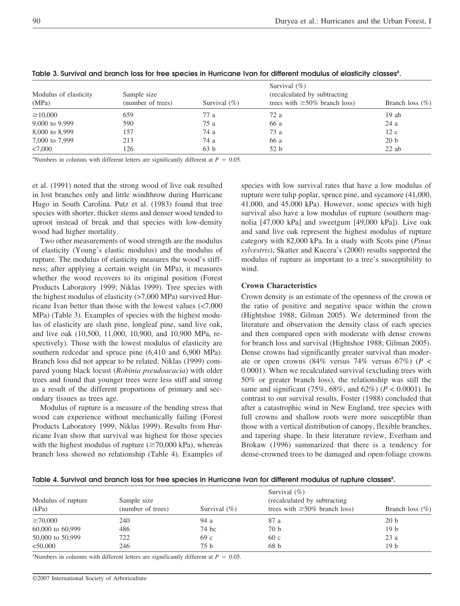| Modulus of elasticity<br>(MPa) | Sample size<br>(number of trees) | Survival $(\% )$ | Survival $(\% )$<br>(recalculated by subtracting)<br>trees with $\geq 50\%$ branch loss) | Branch loss $(\% )$ |
|--------------------------------|----------------------------------|------------------|------------------------------------------------------------------------------------------|---------------------|
| $\geq 10,000$                  | 659                              | 77 a             | 72 a                                                                                     | $19$ ab             |
| 9,000 to 9,999                 | 590                              | 75a              | 66 a                                                                                     | 24 a                |
| 8,000 to 8,999                 | 157                              | 74 a             | 73 a                                                                                     | 12c                 |
| 7,000 to 7,999                 | 213                              | 74 a             | 66 a                                                                                     | 20 <sub>b</sub>     |
| < 7.000                        | 126                              | 63 b             | 52 b                                                                                     | $22$ ab             |

## Table 3. Survival and branch loss for tree species in Hurricane Ivan for different modulus of elasticity classes<sup>z</sup>.

<sup>z</sup>Numbers in columns with different letters are significantly different at  $P = 0.05$ .

et al. (1991) noted that the strong wood of live oak resulted in lost branches only and little windthrow during Hurricane Hugo in South Carolina. Putz et al. (1983) found that tree species with shorter, thicker stems and denser wood tended to uproot instead of break and that species with low-density wood had higher mortality.

Two other measurements of wood strength are the modulus of elasticity (Young's elastic modulus) and the modulus of rupture. The modulus of elasticity measures the wood's stiffness; after applying a certain weight (in MPa), it measures whether the wood recovers to its original position (Forest Products Laboratory 1999; Niklas 1999). Tree species with the highest modulus of elasticity (>7,000 MPa) survived Hurricane Ivan better than those with the lowest values (<7,000 MPa) (Table 3). Examples of species with the highest modulus of elasticity are slash pine, longleaf pine, sand live oak, and live oak (10,500, 11,000, 10,900, and 10,900 MPa, respectively). Those with the lowest modulus of elasticity are southern redcedar and spruce pine (6,410 and 6,900 MPa). Branch loss did not appear to be related. Niklas (1999) compared young black locust (*Robinia pseudoacacia*) with older trees and found that younger trees were less stiff and strong as a result of the different proportions of primary and secondary tissues as trees age.

Modulus of rupture is a measure of the bending stress that wood can experience without mechanically failing (Forest Products Laboratory 1999; Niklas 1999). Results from Hurricane Ivan show that survival was highest for those species with the highest modulus of rupture  $(\geq 70,000 \text{ kPa})$ , whereas branch loss showed no relationship (Table 4). Examples of

species with low survival rates that have a low modulus of rupture were tulip poplar, spruce pine, and sycamore (41,000, 41,000, and 45,000 kPa). However, some species with high survival also have a low modulus of rupture (southern magnolia [47,000 kPa] and sweetgum [49,000 kPa]). Live oak and sand live oak represent the highest modulus of rupture category with 82,000 kPa. In a study with Scots pine (*Pinus sylvestris*), Skatter and Kucera's (2000) results supported the modulus of rupture as important to a tree's susceptibility to wind.

#### **Crown Characteristics**

Crown density is an estimate of the openness of the crown or the ratio of positive and negative space within the crown (Hightshoe 1988; Gilman 2005). We determined from the literature and observation the density class of each species and then compared open with moderate with dense crowns for branch loss and survival (Hightshoe 1988; Gilman 2005). Dense crowns had significantly greater survival than moderate or open crowns (84% versus 74% versus 67%) (*P* < 0.0001). When we recalculated survival (excluding trees with 50% or greater branch loss), the relationship was still the same and significant (75%, 68%, and 62%) (*P* < 0.0001). In contrast to our survival results, Foster (1988) concluded that after a catastrophic wind in New England, tree species with full crowns and shallow roots were more susceptible than those with a vertical distribution of canopy, flexible branches, and tapering shape. In their literature review, Everham and Brokaw (1996) summarized that there is a tendency for dense-crowned trees to be damaged and open-foliage crowns

Table 4. Survival and branch loss for tree species in Hurricane Ivan for different modulus of rupture classes<sup>z</sup>.

| Modulus of rupture<br>(kPa) | Sample size<br>(number of trees) | Survival $(\% )$ | Survival $(\% )$<br>(recalculated by subtracting)<br>trees with $\geq 50\%$ branch loss) | Branch loss $(\% )$ |
|-----------------------------|----------------------------------|------------------|------------------------------------------------------------------------------------------|---------------------|
| $\geq 70,000$               | 240                              | 94 a             | 87 a                                                                                     | 20 <sub>b</sub>     |
| 60,000 to 60,999            | 486                              | 74 bc            | 70 b                                                                                     | 19 <sub>b</sub>     |
| 50,000 to 50,999            | 722                              | 69 c             | 60c                                                                                      | 23a                 |
| < 50,000                    | 246                              | 75 b             | 68 <sub>b</sub>                                                                          | 19 <sub>b</sub>     |

<sup>2</sup>Numbers in columns with different letters are significantly different at  $P = 0.05$ .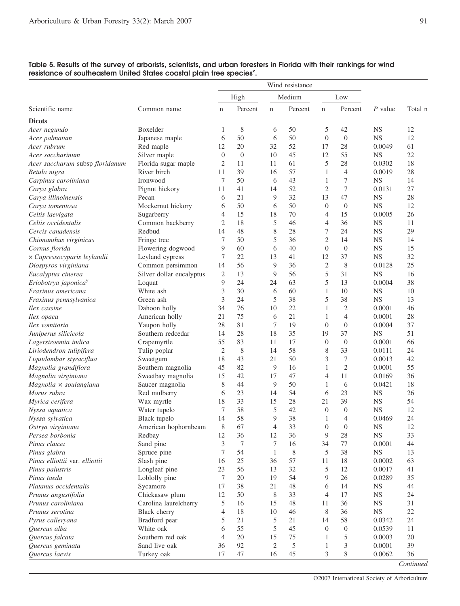| Medium<br>High<br>Low<br>Percent<br>Percent<br>P value<br>Total n<br>Common name<br>Percent<br>$\mathbf n$<br>$\mathbf n$<br>n<br><b>Dicots</b><br>8<br>42<br>Boxelder<br>1<br>6<br>50<br>5<br><b>NS</b><br>12<br>Acer negundo<br>50<br>50<br>$\theta$<br>$\boldsymbol{0}$<br><b>NS</b><br>12<br>6<br>Japanese maple<br>6<br>20<br>52<br>28<br>Red maple<br>12<br>32<br>17<br>0.0049<br>61<br>12<br>22<br>Silver maple<br>$\boldsymbol{0}$<br>$\theta$<br>10<br>45<br>55<br><b>NS</b><br>5<br>28<br>18<br>Florida sugar maple<br>2<br>11<br>61<br>0.0302<br>Acer saccharum subsp floridanum<br>11<br>28<br>River birch<br>39<br>57<br>$\overline{4}$<br>11<br>16<br>1<br>0.0019<br>Betula nigra<br>50<br>43<br>7<br><b>NS</b><br>14<br>Carpinus caroliniana<br>Ironwood<br>7<br>6<br>1<br>7<br>52<br>$\overline{c}$<br>27<br>Carya glabra<br>Pignut hickory<br>11<br>41<br>0.0131<br>14<br>9<br>32<br>47<br><b>NS</b><br>28<br>Pecan<br>21<br>13<br>Carya illinoinensis<br>6<br>Mockernut hickory<br>50<br>6<br>50<br>$\overline{0}$<br>$\boldsymbol{0}$<br><b>NS</b><br>12<br>6<br>Carya tomentosa<br>15<br>15<br>18<br>70<br>0.0005<br>26<br>Celtis laevigata<br>Sugarberry<br>4<br>4<br>18<br>5<br>36<br>Celtis occidentalis<br>Common hackberry<br>$\overline{c}$<br>46<br>4<br><b>NS</b><br>11<br>7<br>48<br>$8\,$<br>29<br>Redbud<br>14<br>28<br>24<br><b>NS</b><br>Cercis canadensis<br>50<br>5<br>36<br>$\overline{2}$<br>7<br>14<br><b>NS</b><br>14<br>Chionanthus virginicus<br>Fringe tree<br>9<br>60<br>$\theta$<br>$\boldsymbol{0}$<br><b>NS</b><br>15<br>Cornus florida<br>Flowering dogwood<br>6<br>40<br>22<br>37<br>32<br>x Cupressocyparis leylandii<br>Leyland cypress<br>7<br>13<br>12<br><b>NS</b><br>41<br>9<br>$\mathfrak{2}$<br>8<br>25<br>Diospyros virginiana<br>Common persimmon<br>56<br>36<br>0.0128<br>14<br>5<br>13<br>9<br>31<br><b>NS</b><br>16<br>Eucalyptus cinerea<br>Silver dollar eucalyptus<br>2<br>56<br>5<br>9<br>24<br>38<br>Eriobotrya japonica <sup>y</sup><br>24<br>63<br>13<br>0.0004<br>Loquat<br>3<br>30<br>10<br>White ash<br>60<br>1<br>10<br><b>NS</b><br>Fraxinus americana<br>6<br>5<br>3<br>5<br>38<br>38<br><b>NS</b><br>13<br>24<br>Fraxinus pennsylvanica<br>Green ash<br>$\overline{2}$<br>46<br>Dahoon holly<br>76<br>10<br>22<br>1<br>0.0001<br>34<br>Ilex cassine<br>75<br>$\overline{4}$<br>28<br>American holly<br>21<br>0.0001<br>Ilex opaca<br>21<br>6<br>1<br>81<br>7<br>19<br>$\boldsymbol{0}$<br>$\boldsymbol{0}$<br>37<br>Yaupon holly<br>28<br>0.0004<br>Ilex vomitoria<br>28<br>18<br>35<br>37<br>51<br>Southern redcedar<br>14<br>19<br><b>NS</b><br>Juniperus silicicola<br>83<br>66<br>55<br>11<br>17<br>$\mathbf{0}$<br>$\boldsymbol{0}$<br>0.0001<br>Lagerstroemia indica<br>Crapemyrtle<br>$\mathfrak{2}$<br>8<br>58<br>8<br>33<br>24<br>Liriodendron tulipifera<br>Tulip poplar<br>14<br>0.0111<br>3<br>7<br>42<br>Liquidambar styraciflua<br>Sweetgum<br>18<br>43<br>21<br>50<br>0.0013<br>$\mathfrak{2}$<br>82<br>9<br>55<br>Magnolia grandiflora<br>Southern magnolia<br>45<br>16<br>0.0001<br>1<br>42<br>11<br>36<br>Magnolia virginiana<br>Sweetbay magnolia<br>15<br>17<br>47<br>4<br>0.0169<br>50<br>18<br>Saucer magnolia<br>8<br>44<br>9<br>1<br>6<br>Magnolia × soulangiana<br>0.0421<br>23<br>Morus rubra<br>Red mulberry<br>23<br>54<br>6<br><b>NS</b><br>26<br>6<br>14<br><b>NS</b><br>54<br>Wax myrtle<br>33<br>15<br>28<br>21<br>39<br>18<br>58<br>5<br>Water tupelo<br>7<br>42<br>$\overline{0}$<br><b>NS</b><br>12<br>$\theta$<br>58<br>9<br>38<br>24<br>14<br>$\overline{4}$<br>0.0469<br>Black tupelo<br>1<br>$8\,$<br>67<br>33<br>$\boldsymbol{0}$<br>$\boldsymbol{0}$<br>$_{\rm NS}$<br>12<br>American hophornbeam<br>$\overline{4}$<br>12<br>9<br>33<br>36<br>12<br>36<br>28<br><b>NS</b><br>Persea borbonia<br>Redbay<br>3<br>Sand pine<br>7<br>7<br>16<br>34<br>77<br>0.0001<br>44<br><b>NS</b><br>Spruce pine<br>7<br>54<br>$\mathbf{1}$<br>8<br>5<br>13<br>38<br>Slash pine<br>25<br>36<br>57<br>0.0002<br>63<br>16<br>11<br>18<br>56<br>12<br>Longleaf pine<br>23<br>13<br>32<br>5<br>0.0017<br>41<br>$\tau$<br>26<br>35<br>Pinus taeda<br>Loblolly pine<br>20<br>19<br>54<br>9<br>0.0289<br>17<br>38<br>44<br>Sycamore<br>21<br>48<br>6<br>14<br><b>NS</b><br>Chickasaw plum<br>12<br>Prunus angustifolia<br>50<br>8<br>33<br>4<br>17<br><b>NS</b><br>24<br>31<br>Prunus caroliniana<br>Carolina laurelcherry<br>5<br>16<br>15<br>48<br>36<br><b>NS</b><br>11<br>$_{\rm NS}$<br>22<br>Prunus serotina<br>Black cherry<br>18<br>8<br>36<br>4<br>10<br>46<br>5<br>5<br>58<br>24<br>Pyrus calleryana<br>Bradford pear<br>21<br>21<br>14<br>0.0342<br>5<br>Quercus alba<br>White oak<br>55<br>45<br>$\mathbf{0}$<br>$\boldsymbol{0}$<br>0.0539<br>11<br>6<br>75<br>5<br>Southern red oak<br>4<br>20<br>15<br>20<br>Quercus falcata<br>1<br>0.0003<br>3<br>Quercus geminata<br>Sand live oak<br>92<br>2<br>5<br>0.0001<br>39<br>36<br>1<br>Quercus laevis<br>Turkey oak<br>8<br>0.0062<br>36<br>17<br>47<br>16<br>45<br>3 |                                |  |  |  | Wind resistance |  |  |  |
|--------------------------------------------------------------------------------------------------------------------------------------------------------------------------------------------------------------------------------------------------------------------------------------------------------------------------------------------------------------------------------------------------------------------------------------------------------------------------------------------------------------------------------------------------------------------------------------------------------------------------------------------------------------------------------------------------------------------------------------------------------------------------------------------------------------------------------------------------------------------------------------------------------------------------------------------------------------------------------------------------------------------------------------------------------------------------------------------------------------------------------------------------------------------------------------------------------------------------------------------------------------------------------------------------------------------------------------------------------------------------------------------------------------------------------------------------------------------------------------------------------------------------------------------------------------------------------------------------------------------------------------------------------------------------------------------------------------------------------------------------------------------------------------------------------------------------------------------------------------------------------------------------------------------------------------------------------------------------------------------------------------------------------------------------------------------------------------------------------------------------------------------------------------------------------------------------------------------------------------------------------------------------------------------------------------------------------------------------------------------------------------------------------------------------------------------------------------------------------------------------------------------------------------------------------------------------------------------------------------------------------------------------------------------------------------------------------------------------------------------------------------------------------------------------------------------------------------------------------------------------------------------------------------------------------------------------------------------------------------------------------------------------------------------------------------------------------------------------------------------------------------------------------------------------------------------------------------------------------------------------------------------------------------------------------------------------------------------------------------------------------------------------------------------------------------------------------------------------------------------------------------------------------------------------------------------------------------------------------------------------------------------------------------------------------------------------------------------------------------------------------------------------------------------------------------------------------------------------------------------------------------------------------------------------------------------------------------------------------------------------------------------------------------------------------------------------------------------------------------------------------------------------------------------------------------------------------------------------------------------------------------------------------------------------------------------------------------------------------------------------------------------------------------------------------------------------------------------------------------------------------------------------------------------------------------------------------------------------------------------------------------------------------------------------------------------------------------------------------------------------------------------------------------------------------------------------------------------------------------------------------------------------------------------------------------------------------------------------------------------------------------------------------|--------------------------------|--|--|--|-----------------|--|--|--|
|                                                                                                                                                                                                                                                                                                                                                                                                                                                                                                                                                                                                                                                                                                                                                                                                                                                                                                                                                                                                                                                                                                                                                                                                                                                                                                                                                                                                                                                                                                                                                                                                                                                                                                                                                                                                                                                                                                                                                                                                                                                                                                                                                                                                                                                                                                                                                                                                                                                                                                                                                                                                                                                                                                                                                                                                                                                                                                                                                                                                                                                                                                                                                                                                                                                                                                                                                                                                                                                                                                                                                                                                                                                                                                                                                                                                                                                                                                                                                                                                                                                                                                                                                                                                                                                                                                                                                                                                                                                                                                                                                                                                                                                                                                                                                                                                                                                                                                                                                                                                                                |                                |  |  |  |                 |  |  |  |
|                                                                                                                                                                                                                                                                                                                                                                                                                                                                                                                                                                                                                                                                                                                                                                                                                                                                                                                                                                                                                                                                                                                                                                                                                                                                                                                                                                                                                                                                                                                                                                                                                                                                                                                                                                                                                                                                                                                                                                                                                                                                                                                                                                                                                                                                                                                                                                                                                                                                                                                                                                                                                                                                                                                                                                                                                                                                                                                                                                                                                                                                                                                                                                                                                                                                                                                                                                                                                                                                                                                                                                                                                                                                                                                                                                                                                                                                                                                                                                                                                                                                                                                                                                                                                                                                                                                                                                                                                                                                                                                                                                                                                                                                                                                                                                                                                                                                                                                                                                                                                                | Scientific name                |  |  |  |                 |  |  |  |
|                                                                                                                                                                                                                                                                                                                                                                                                                                                                                                                                                                                                                                                                                                                                                                                                                                                                                                                                                                                                                                                                                                                                                                                                                                                                                                                                                                                                                                                                                                                                                                                                                                                                                                                                                                                                                                                                                                                                                                                                                                                                                                                                                                                                                                                                                                                                                                                                                                                                                                                                                                                                                                                                                                                                                                                                                                                                                                                                                                                                                                                                                                                                                                                                                                                                                                                                                                                                                                                                                                                                                                                                                                                                                                                                                                                                                                                                                                                                                                                                                                                                                                                                                                                                                                                                                                                                                                                                                                                                                                                                                                                                                                                                                                                                                                                                                                                                                                                                                                                                                                |                                |  |  |  |                 |  |  |  |
|                                                                                                                                                                                                                                                                                                                                                                                                                                                                                                                                                                                                                                                                                                                                                                                                                                                                                                                                                                                                                                                                                                                                                                                                                                                                                                                                                                                                                                                                                                                                                                                                                                                                                                                                                                                                                                                                                                                                                                                                                                                                                                                                                                                                                                                                                                                                                                                                                                                                                                                                                                                                                                                                                                                                                                                                                                                                                                                                                                                                                                                                                                                                                                                                                                                                                                                                                                                                                                                                                                                                                                                                                                                                                                                                                                                                                                                                                                                                                                                                                                                                                                                                                                                                                                                                                                                                                                                                                                                                                                                                                                                                                                                                                                                                                                                                                                                                                                                                                                                                                                |                                |  |  |  |                 |  |  |  |
|                                                                                                                                                                                                                                                                                                                                                                                                                                                                                                                                                                                                                                                                                                                                                                                                                                                                                                                                                                                                                                                                                                                                                                                                                                                                                                                                                                                                                                                                                                                                                                                                                                                                                                                                                                                                                                                                                                                                                                                                                                                                                                                                                                                                                                                                                                                                                                                                                                                                                                                                                                                                                                                                                                                                                                                                                                                                                                                                                                                                                                                                                                                                                                                                                                                                                                                                                                                                                                                                                                                                                                                                                                                                                                                                                                                                                                                                                                                                                                                                                                                                                                                                                                                                                                                                                                                                                                                                                                                                                                                                                                                                                                                                                                                                                                                                                                                                                                                                                                                                                                | Acer palmatum                  |  |  |  |                 |  |  |  |
|                                                                                                                                                                                                                                                                                                                                                                                                                                                                                                                                                                                                                                                                                                                                                                                                                                                                                                                                                                                                                                                                                                                                                                                                                                                                                                                                                                                                                                                                                                                                                                                                                                                                                                                                                                                                                                                                                                                                                                                                                                                                                                                                                                                                                                                                                                                                                                                                                                                                                                                                                                                                                                                                                                                                                                                                                                                                                                                                                                                                                                                                                                                                                                                                                                                                                                                                                                                                                                                                                                                                                                                                                                                                                                                                                                                                                                                                                                                                                                                                                                                                                                                                                                                                                                                                                                                                                                                                                                                                                                                                                                                                                                                                                                                                                                                                                                                                                                                                                                                                                                | Acer rubrum                    |  |  |  |                 |  |  |  |
|                                                                                                                                                                                                                                                                                                                                                                                                                                                                                                                                                                                                                                                                                                                                                                                                                                                                                                                                                                                                                                                                                                                                                                                                                                                                                                                                                                                                                                                                                                                                                                                                                                                                                                                                                                                                                                                                                                                                                                                                                                                                                                                                                                                                                                                                                                                                                                                                                                                                                                                                                                                                                                                                                                                                                                                                                                                                                                                                                                                                                                                                                                                                                                                                                                                                                                                                                                                                                                                                                                                                                                                                                                                                                                                                                                                                                                                                                                                                                                                                                                                                                                                                                                                                                                                                                                                                                                                                                                                                                                                                                                                                                                                                                                                                                                                                                                                                                                                                                                                                                                | Acer saccharinum               |  |  |  |                 |  |  |  |
|                                                                                                                                                                                                                                                                                                                                                                                                                                                                                                                                                                                                                                                                                                                                                                                                                                                                                                                                                                                                                                                                                                                                                                                                                                                                                                                                                                                                                                                                                                                                                                                                                                                                                                                                                                                                                                                                                                                                                                                                                                                                                                                                                                                                                                                                                                                                                                                                                                                                                                                                                                                                                                                                                                                                                                                                                                                                                                                                                                                                                                                                                                                                                                                                                                                                                                                                                                                                                                                                                                                                                                                                                                                                                                                                                                                                                                                                                                                                                                                                                                                                                                                                                                                                                                                                                                                                                                                                                                                                                                                                                                                                                                                                                                                                                                                                                                                                                                                                                                                                                                |                                |  |  |  |                 |  |  |  |
|                                                                                                                                                                                                                                                                                                                                                                                                                                                                                                                                                                                                                                                                                                                                                                                                                                                                                                                                                                                                                                                                                                                                                                                                                                                                                                                                                                                                                                                                                                                                                                                                                                                                                                                                                                                                                                                                                                                                                                                                                                                                                                                                                                                                                                                                                                                                                                                                                                                                                                                                                                                                                                                                                                                                                                                                                                                                                                                                                                                                                                                                                                                                                                                                                                                                                                                                                                                                                                                                                                                                                                                                                                                                                                                                                                                                                                                                                                                                                                                                                                                                                                                                                                                                                                                                                                                                                                                                                                                                                                                                                                                                                                                                                                                                                                                                                                                                                                                                                                                                                                |                                |  |  |  |                 |  |  |  |
|                                                                                                                                                                                                                                                                                                                                                                                                                                                                                                                                                                                                                                                                                                                                                                                                                                                                                                                                                                                                                                                                                                                                                                                                                                                                                                                                                                                                                                                                                                                                                                                                                                                                                                                                                                                                                                                                                                                                                                                                                                                                                                                                                                                                                                                                                                                                                                                                                                                                                                                                                                                                                                                                                                                                                                                                                                                                                                                                                                                                                                                                                                                                                                                                                                                                                                                                                                                                                                                                                                                                                                                                                                                                                                                                                                                                                                                                                                                                                                                                                                                                                                                                                                                                                                                                                                                                                                                                                                                                                                                                                                                                                                                                                                                                                                                                                                                                                                                                                                                                                                |                                |  |  |  |                 |  |  |  |
|                                                                                                                                                                                                                                                                                                                                                                                                                                                                                                                                                                                                                                                                                                                                                                                                                                                                                                                                                                                                                                                                                                                                                                                                                                                                                                                                                                                                                                                                                                                                                                                                                                                                                                                                                                                                                                                                                                                                                                                                                                                                                                                                                                                                                                                                                                                                                                                                                                                                                                                                                                                                                                                                                                                                                                                                                                                                                                                                                                                                                                                                                                                                                                                                                                                                                                                                                                                                                                                                                                                                                                                                                                                                                                                                                                                                                                                                                                                                                                                                                                                                                                                                                                                                                                                                                                                                                                                                                                                                                                                                                                                                                                                                                                                                                                                                                                                                                                                                                                                                                                |                                |  |  |  |                 |  |  |  |
|                                                                                                                                                                                                                                                                                                                                                                                                                                                                                                                                                                                                                                                                                                                                                                                                                                                                                                                                                                                                                                                                                                                                                                                                                                                                                                                                                                                                                                                                                                                                                                                                                                                                                                                                                                                                                                                                                                                                                                                                                                                                                                                                                                                                                                                                                                                                                                                                                                                                                                                                                                                                                                                                                                                                                                                                                                                                                                                                                                                                                                                                                                                                                                                                                                                                                                                                                                                                                                                                                                                                                                                                                                                                                                                                                                                                                                                                                                                                                                                                                                                                                                                                                                                                                                                                                                                                                                                                                                                                                                                                                                                                                                                                                                                                                                                                                                                                                                                                                                                                                                |                                |  |  |  |                 |  |  |  |
|                                                                                                                                                                                                                                                                                                                                                                                                                                                                                                                                                                                                                                                                                                                                                                                                                                                                                                                                                                                                                                                                                                                                                                                                                                                                                                                                                                                                                                                                                                                                                                                                                                                                                                                                                                                                                                                                                                                                                                                                                                                                                                                                                                                                                                                                                                                                                                                                                                                                                                                                                                                                                                                                                                                                                                                                                                                                                                                                                                                                                                                                                                                                                                                                                                                                                                                                                                                                                                                                                                                                                                                                                                                                                                                                                                                                                                                                                                                                                                                                                                                                                                                                                                                                                                                                                                                                                                                                                                                                                                                                                                                                                                                                                                                                                                                                                                                                                                                                                                                                                                |                                |  |  |  |                 |  |  |  |
|                                                                                                                                                                                                                                                                                                                                                                                                                                                                                                                                                                                                                                                                                                                                                                                                                                                                                                                                                                                                                                                                                                                                                                                                                                                                                                                                                                                                                                                                                                                                                                                                                                                                                                                                                                                                                                                                                                                                                                                                                                                                                                                                                                                                                                                                                                                                                                                                                                                                                                                                                                                                                                                                                                                                                                                                                                                                                                                                                                                                                                                                                                                                                                                                                                                                                                                                                                                                                                                                                                                                                                                                                                                                                                                                                                                                                                                                                                                                                                                                                                                                                                                                                                                                                                                                                                                                                                                                                                                                                                                                                                                                                                                                                                                                                                                                                                                                                                                                                                                                                                |                                |  |  |  |                 |  |  |  |
|                                                                                                                                                                                                                                                                                                                                                                                                                                                                                                                                                                                                                                                                                                                                                                                                                                                                                                                                                                                                                                                                                                                                                                                                                                                                                                                                                                                                                                                                                                                                                                                                                                                                                                                                                                                                                                                                                                                                                                                                                                                                                                                                                                                                                                                                                                                                                                                                                                                                                                                                                                                                                                                                                                                                                                                                                                                                                                                                                                                                                                                                                                                                                                                                                                                                                                                                                                                                                                                                                                                                                                                                                                                                                                                                                                                                                                                                                                                                                                                                                                                                                                                                                                                                                                                                                                                                                                                                                                                                                                                                                                                                                                                                                                                                                                                                                                                                                                                                                                                                                                |                                |  |  |  |                 |  |  |  |
|                                                                                                                                                                                                                                                                                                                                                                                                                                                                                                                                                                                                                                                                                                                                                                                                                                                                                                                                                                                                                                                                                                                                                                                                                                                                                                                                                                                                                                                                                                                                                                                                                                                                                                                                                                                                                                                                                                                                                                                                                                                                                                                                                                                                                                                                                                                                                                                                                                                                                                                                                                                                                                                                                                                                                                                                                                                                                                                                                                                                                                                                                                                                                                                                                                                                                                                                                                                                                                                                                                                                                                                                                                                                                                                                                                                                                                                                                                                                                                                                                                                                                                                                                                                                                                                                                                                                                                                                                                                                                                                                                                                                                                                                                                                                                                                                                                                                                                                                                                                                                                |                                |  |  |  |                 |  |  |  |
|                                                                                                                                                                                                                                                                                                                                                                                                                                                                                                                                                                                                                                                                                                                                                                                                                                                                                                                                                                                                                                                                                                                                                                                                                                                                                                                                                                                                                                                                                                                                                                                                                                                                                                                                                                                                                                                                                                                                                                                                                                                                                                                                                                                                                                                                                                                                                                                                                                                                                                                                                                                                                                                                                                                                                                                                                                                                                                                                                                                                                                                                                                                                                                                                                                                                                                                                                                                                                                                                                                                                                                                                                                                                                                                                                                                                                                                                                                                                                                                                                                                                                                                                                                                                                                                                                                                                                                                                                                                                                                                                                                                                                                                                                                                                                                                                                                                                                                                                                                                                                                |                                |  |  |  |                 |  |  |  |
|                                                                                                                                                                                                                                                                                                                                                                                                                                                                                                                                                                                                                                                                                                                                                                                                                                                                                                                                                                                                                                                                                                                                                                                                                                                                                                                                                                                                                                                                                                                                                                                                                                                                                                                                                                                                                                                                                                                                                                                                                                                                                                                                                                                                                                                                                                                                                                                                                                                                                                                                                                                                                                                                                                                                                                                                                                                                                                                                                                                                                                                                                                                                                                                                                                                                                                                                                                                                                                                                                                                                                                                                                                                                                                                                                                                                                                                                                                                                                                                                                                                                                                                                                                                                                                                                                                                                                                                                                                                                                                                                                                                                                                                                                                                                                                                                                                                                                                                                                                                                                                |                                |  |  |  |                 |  |  |  |
|                                                                                                                                                                                                                                                                                                                                                                                                                                                                                                                                                                                                                                                                                                                                                                                                                                                                                                                                                                                                                                                                                                                                                                                                                                                                                                                                                                                                                                                                                                                                                                                                                                                                                                                                                                                                                                                                                                                                                                                                                                                                                                                                                                                                                                                                                                                                                                                                                                                                                                                                                                                                                                                                                                                                                                                                                                                                                                                                                                                                                                                                                                                                                                                                                                                                                                                                                                                                                                                                                                                                                                                                                                                                                                                                                                                                                                                                                                                                                                                                                                                                                                                                                                                                                                                                                                                                                                                                                                                                                                                                                                                                                                                                                                                                                                                                                                                                                                                                                                                                                                |                                |  |  |  |                 |  |  |  |
|                                                                                                                                                                                                                                                                                                                                                                                                                                                                                                                                                                                                                                                                                                                                                                                                                                                                                                                                                                                                                                                                                                                                                                                                                                                                                                                                                                                                                                                                                                                                                                                                                                                                                                                                                                                                                                                                                                                                                                                                                                                                                                                                                                                                                                                                                                                                                                                                                                                                                                                                                                                                                                                                                                                                                                                                                                                                                                                                                                                                                                                                                                                                                                                                                                                                                                                                                                                                                                                                                                                                                                                                                                                                                                                                                                                                                                                                                                                                                                                                                                                                                                                                                                                                                                                                                                                                                                                                                                                                                                                                                                                                                                                                                                                                                                                                                                                                                                                                                                                                                                |                                |  |  |  |                 |  |  |  |
|                                                                                                                                                                                                                                                                                                                                                                                                                                                                                                                                                                                                                                                                                                                                                                                                                                                                                                                                                                                                                                                                                                                                                                                                                                                                                                                                                                                                                                                                                                                                                                                                                                                                                                                                                                                                                                                                                                                                                                                                                                                                                                                                                                                                                                                                                                                                                                                                                                                                                                                                                                                                                                                                                                                                                                                                                                                                                                                                                                                                                                                                                                                                                                                                                                                                                                                                                                                                                                                                                                                                                                                                                                                                                                                                                                                                                                                                                                                                                                                                                                                                                                                                                                                                                                                                                                                                                                                                                                                                                                                                                                                                                                                                                                                                                                                                                                                                                                                                                                                                                                |                                |  |  |  |                 |  |  |  |
|                                                                                                                                                                                                                                                                                                                                                                                                                                                                                                                                                                                                                                                                                                                                                                                                                                                                                                                                                                                                                                                                                                                                                                                                                                                                                                                                                                                                                                                                                                                                                                                                                                                                                                                                                                                                                                                                                                                                                                                                                                                                                                                                                                                                                                                                                                                                                                                                                                                                                                                                                                                                                                                                                                                                                                                                                                                                                                                                                                                                                                                                                                                                                                                                                                                                                                                                                                                                                                                                                                                                                                                                                                                                                                                                                                                                                                                                                                                                                                                                                                                                                                                                                                                                                                                                                                                                                                                                                                                                                                                                                                                                                                                                                                                                                                                                                                                                                                                                                                                                                                |                                |  |  |  |                 |  |  |  |
|                                                                                                                                                                                                                                                                                                                                                                                                                                                                                                                                                                                                                                                                                                                                                                                                                                                                                                                                                                                                                                                                                                                                                                                                                                                                                                                                                                                                                                                                                                                                                                                                                                                                                                                                                                                                                                                                                                                                                                                                                                                                                                                                                                                                                                                                                                                                                                                                                                                                                                                                                                                                                                                                                                                                                                                                                                                                                                                                                                                                                                                                                                                                                                                                                                                                                                                                                                                                                                                                                                                                                                                                                                                                                                                                                                                                                                                                                                                                                                                                                                                                                                                                                                                                                                                                                                                                                                                                                                                                                                                                                                                                                                                                                                                                                                                                                                                                                                                                                                                                                                |                                |  |  |  |                 |  |  |  |
|                                                                                                                                                                                                                                                                                                                                                                                                                                                                                                                                                                                                                                                                                                                                                                                                                                                                                                                                                                                                                                                                                                                                                                                                                                                                                                                                                                                                                                                                                                                                                                                                                                                                                                                                                                                                                                                                                                                                                                                                                                                                                                                                                                                                                                                                                                                                                                                                                                                                                                                                                                                                                                                                                                                                                                                                                                                                                                                                                                                                                                                                                                                                                                                                                                                                                                                                                                                                                                                                                                                                                                                                                                                                                                                                                                                                                                                                                                                                                                                                                                                                                                                                                                                                                                                                                                                                                                                                                                                                                                                                                                                                                                                                                                                                                                                                                                                                                                                                                                                                                                |                                |  |  |  |                 |  |  |  |
|                                                                                                                                                                                                                                                                                                                                                                                                                                                                                                                                                                                                                                                                                                                                                                                                                                                                                                                                                                                                                                                                                                                                                                                                                                                                                                                                                                                                                                                                                                                                                                                                                                                                                                                                                                                                                                                                                                                                                                                                                                                                                                                                                                                                                                                                                                                                                                                                                                                                                                                                                                                                                                                                                                                                                                                                                                                                                                                                                                                                                                                                                                                                                                                                                                                                                                                                                                                                                                                                                                                                                                                                                                                                                                                                                                                                                                                                                                                                                                                                                                                                                                                                                                                                                                                                                                                                                                                                                                                                                                                                                                                                                                                                                                                                                                                                                                                                                                                                                                                                                                |                                |  |  |  |                 |  |  |  |
|                                                                                                                                                                                                                                                                                                                                                                                                                                                                                                                                                                                                                                                                                                                                                                                                                                                                                                                                                                                                                                                                                                                                                                                                                                                                                                                                                                                                                                                                                                                                                                                                                                                                                                                                                                                                                                                                                                                                                                                                                                                                                                                                                                                                                                                                                                                                                                                                                                                                                                                                                                                                                                                                                                                                                                                                                                                                                                                                                                                                                                                                                                                                                                                                                                                                                                                                                                                                                                                                                                                                                                                                                                                                                                                                                                                                                                                                                                                                                                                                                                                                                                                                                                                                                                                                                                                                                                                                                                                                                                                                                                                                                                                                                                                                                                                                                                                                                                                                                                                                                                |                                |  |  |  |                 |  |  |  |
|                                                                                                                                                                                                                                                                                                                                                                                                                                                                                                                                                                                                                                                                                                                                                                                                                                                                                                                                                                                                                                                                                                                                                                                                                                                                                                                                                                                                                                                                                                                                                                                                                                                                                                                                                                                                                                                                                                                                                                                                                                                                                                                                                                                                                                                                                                                                                                                                                                                                                                                                                                                                                                                                                                                                                                                                                                                                                                                                                                                                                                                                                                                                                                                                                                                                                                                                                                                                                                                                                                                                                                                                                                                                                                                                                                                                                                                                                                                                                                                                                                                                                                                                                                                                                                                                                                                                                                                                                                                                                                                                                                                                                                                                                                                                                                                                                                                                                                                                                                                                                                |                                |  |  |  |                 |  |  |  |
|                                                                                                                                                                                                                                                                                                                                                                                                                                                                                                                                                                                                                                                                                                                                                                                                                                                                                                                                                                                                                                                                                                                                                                                                                                                                                                                                                                                                                                                                                                                                                                                                                                                                                                                                                                                                                                                                                                                                                                                                                                                                                                                                                                                                                                                                                                                                                                                                                                                                                                                                                                                                                                                                                                                                                                                                                                                                                                                                                                                                                                                                                                                                                                                                                                                                                                                                                                                                                                                                                                                                                                                                                                                                                                                                                                                                                                                                                                                                                                                                                                                                                                                                                                                                                                                                                                                                                                                                                                                                                                                                                                                                                                                                                                                                                                                                                                                                                                                                                                                                                                |                                |  |  |  |                 |  |  |  |
|                                                                                                                                                                                                                                                                                                                                                                                                                                                                                                                                                                                                                                                                                                                                                                                                                                                                                                                                                                                                                                                                                                                                                                                                                                                                                                                                                                                                                                                                                                                                                                                                                                                                                                                                                                                                                                                                                                                                                                                                                                                                                                                                                                                                                                                                                                                                                                                                                                                                                                                                                                                                                                                                                                                                                                                                                                                                                                                                                                                                                                                                                                                                                                                                                                                                                                                                                                                                                                                                                                                                                                                                                                                                                                                                                                                                                                                                                                                                                                                                                                                                                                                                                                                                                                                                                                                                                                                                                                                                                                                                                                                                                                                                                                                                                                                                                                                                                                                                                                                                                                |                                |  |  |  |                 |  |  |  |
|                                                                                                                                                                                                                                                                                                                                                                                                                                                                                                                                                                                                                                                                                                                                                                                                                                                                                                                                                                                                                                                                                                                                                                                                                                                                                                                                                                                                                                                                                                                                                                                                                                                                                                                                                                                                                                                                                                                                                                                                                                                                                                                                                                                                                                                                                                                                                                                                                                                                                                                                                                                                                                                                                                                                                                                                                                                                                                                                                                                                                                                                                                                                                                                                                                                                                                                                                                                                                                                                                                                                                                                                                                                                                                                                                                                                                                                                                                                                                                                                                                                                                                                                                                                                                                                                                                                                                                                                                                                                                                                                                                                                                                                                                                                                                                                                                                                                                                                                                                                                                                |                                |  |  |  |                 |  |  |  |
|                                                                                                                                                                                                                                                                                                                                                                                                                                                                                                                                                                                                                                                                                                                                                                                                                                                                                                                                                                                                                                                                                                                                                                                                                                                                                                                                                                                                                                                                                                                                                                                                                                                                                                                                                                                                                                                                                                                                                                                                                                                                                                                                                                                                                                                                                                                                                                                                                                                                                                                                                                                                                                                                                                                                                                                                                                                                                                                                                                                                                                                                                                                                                                                                                                                                                                                                                                                                                                                                                                                                                                                                                                                                                                                                                                                                                                                                                                                                                                                                                                                                                                                                                                                                                                                                                                                                                                                                                                                                                                                                                                                                                                                                                                                                                                                                                                                                                                                                                                                                                                |                                |  |  |  |                 |  |  |  |
|                                                                                                                                                                                                                                                                                                                                                                                                                                                                                                                                                                                                                                                                                                                                                                                                                                                                                                                                                                                                                                                                                                                                                                                                                                                                                                                                                                                                                                                                                                                                                                                                                                                                                                                                                                                                                                                                                                                                                                                                                                                                                                                                                                                                                                                                                                                                                                                                                                                                                                                                                                                                                                                                                                                                                                                                                                                                                                                                                                                                                                                                                                                                                                                                                                                                                                                                                                                                                                                                                                                                                                                                                                                                                                                                                                                                                                                                                                                                                                                                                                                                                                                                                                                                                                                                                                                                                                                                                                                                                                                                                                                                                                                                                                                                                                                                                                                                                                                                                                                                                                |                                |  |  |  |                 |  |  |  |
|                                                                                                                                                                                                                                                                                                                                                                                                                                                                                                                                                                                                                                                                                                                                                                                                                                                                                                                                                                                                                                                                                                                                                                                                                                                                                                                                                                                                                                                                                                                                                                                                                                                                                                                                                                                                                                                                                                                                                                                                                                                                                                                                                                                                                                                                                                                                                                                                                                                                                                                                                                                                                                                                                                                                                                                                                                                                                                                                                                                                                                                                                                                                                                                                                                                                                                                                                                                                                                                                                                                                                                                                                                                                                                                                                                                                                                                                                                                                                                                                                                                                                                                                                                                                                                                                                                                                                                                                                                                                                                                                                                                                                                                                                                                                                                                                                                                                                                                                                                                                                                |                                |  |  |  |                 |  |  |  |
|                                                                                                                                                                                                                                                                                                                                                                                                                                                                                                                                                                                                                                                                                                                                                                                                                                                                                                                                                                                                                                                                                                                                                                                                                                                                                                                                                                                                                                                                                                                                                                                                                                                                                                                                                                                                                                                                                                                                                                                                                                                                                                                                                                                                                                                                                                                                                                                                                                                                                                                                                                                                                                                                                                                                                                                                                                                                                                                                                                                                                                                                                                                                                                                                                                                                                                                                                                                                                                                                                                                                                                                                                                                                                                                                                                                                                                                                                                                                                                                                                                                                                                                                                                                                                                                                                                                                                                                                                                                                                                                                                                                                                                                                                                                                                                                                                                                                                                                                                                                                                                |                                |  |  |  |                 |  |  |  |
|                                                                                                                                                                                                                                                                                                                                                                                                                                                                                                                                                                                                                                                                                                                                                                                                                                                                                                                                                                                                                                                                                                                                                                                                                                                                                                                                                                                                                                                                                                                                                                                                                                                                                                                                                                                                                                                                                                                                                                                                                                                                                                                                                                                                                                                                                                                                                                                                                                                                                                                                                                                                                                                                                                                                                                                                                                                                                                                                                                                                                                                                                                                                                                                                                                                                                                                                                                                                                                                                                                                                                                                                                                                                                                                                                                                                                                                                                                                                                                                                                                                                                                                                                                                                                                                                                                                                                                                                                                                                                                                                                                                                                                                                                                                                                                                                                                                                                                                                                                                                                                |                                |  |  |  |                 |  |  |  |
|                                                                                                                                                                                                                                                                                                                                                                                                                                                                                                                                                                                                                                                                                                                                                                                                                                                                                                                                                                                                                                                                                                                                                                                                                                                                                                                                                                                                                                                                                                                                                                                                                                                                                                                                                                                                                                                                                                                                                                                                                                                                                                                                                                                                                                                                                                                                                                                                                                                                                                                                                                                                                                                                                                                                                                                                                                                                                                                                                                                                                                                                                                                                                                                                                                                                                                                                                                                                                                                                                                                                                                                                                                                                                                                                                                                                                                                                                                                                                                                                                                                                                                                                                                                                                                                                                                                                                                                                                                                                                                                                                                                                                                                                                                                                                                                                                                                                                                                                                                                                                                |                                |  |  |  |                 |  |  |  |
|                                                                                                                                                                                                                                                                                                                                                                                                                                                                                                                                                                                                                                                                                                                                                                                                                                                                                                                                                                                                                                                                                                                                                                                                                                                                                                                                                                                                                                                                                                                                                                                                                                                                                                                                                                                                                                                                                                                                                                                                                                                                                                                                                                                                                                                                                                                                                                                                                                                                                                                                                                                                                                                                                                                                                                                                                                                                                                                                                                                                                                                                                                                                                                                                                                                                                                                                                                                                                                                                                                                                                                                                                                                                                                                                                                                                                                                                                                                                                                                                                                                                                                                                                                                                                                                                                                                                                                                                                                                                                                                                                                                                                                                                                                                                                                                                                                                                                                                                                                                                                                | Myrica cerifera                |  |  |  |                 |  |  |  |
|                                                                                                                                                                                                                                                                                                                                                                                                                                                                                                                                                                                                                                                                                                                                                                                                                                                                                                                                                                                                                                                                                                                                                                                                                                                                                                                                                                                                                                                                                                                                                                                                                                                                                                                                                                                                                                                                                                                                                                                                                                                                                                                                                                                                                                                                                                                                                                                                                                                                                                                                                                                                                                                                                                                                                                                                                                                                                                                                                                                                                                                                                                                                                                                                                                                                                                                                                                                                                                                                                                                                                                                                                                                                                                                                                                                                                                                                                                                                                                                                                                                                                                                                                                                                                                                                                                                                                                                                                                                                                                                                                                                                                                                                                                                                                                                                                                                                                                                                                                                                                                | Nyssa aquatica                 |  |  |  |                 |  |  |  |
|                                                                                                                                                                                                                                                                                                                                                                                                                                                                                                                                                                                                                                                                                                                                                                                                                                                                                                                                                                                                                                                                                                                                                                                                                                                                                                                                                                                                                                                                                                                                                                                                                                                                                                                                                                                                                                                                                                                                                                                                                                                                                                                                                                                                                                                                                                                                                                                                                                                                                                                                                                                                                                                                                                                                                                                                                                                                                                                                                                                                                                                                                                                                                                                                                                                                                                                                                                                                                                                                                                                                                                                                                                                                                                                                                                                                                                                                                                                                                                                                                                                                                                                                                                                                                                                                                                                                                                                                                                                                                                                                                                                                                                                                                                                                                                                                                                                                                                                                                                                                                                | Nyssa sylvatica                |  |  |  |                 |  |  |  |
|                                                                                                                                                                                                                                                                                                                                                                                                                                                                                                                                                                                                                                                                                                                                                                                                                                                                                                                                                                                                                                                                                                                                                                                                                                                                                                                                                                                                                                                                                                                                                                                                                                                                                                                                                                                                                                                                                                                                                                                                                                                                                                                                                                                                                                                                                                                                                                                                                                                                                                                                                                                                                                                                                                                                                                                                                                                                                                                                                                                                                                                                                                                                                                                                                                                                                                                                                                                                                                                                                                                                                                                                                                                                                                                                                                                                                                                                                                                                                                                                                                                                                                                                                                                                                                                                                                                                                                                                                                                                                                                                                                                                                                                                                                                                                                                                                                                                                                                                                                                                                                | Ostrya virginiana              |  |  |  |                 |  |  |  |
|                                                                                                                                                                                                                                                                                                                                                                                                                                                                                                                                                                                                                                                                                                                                                                                                                                                                                                                                                                                                                                                                                                                                                                                                                                                                                                                                                                                                                                                                                                                                                                                                                                                                                                                                                                                                                                                                                                                                                                                                                                                                                                                                                                                                                                                                                                                                                                                                                                                                                                                                                                                                                                                                                                                                                                                                                                                                                                                                                                                                                                                                                                                                                                                                                                                                                                                                                                                                                                                                                                                                                                                                                                                                                                                                                                                                                                                                                                                                                                                                                                                                                                                                                                                                                                                                                                                                                                                                                                                                                                                                                                                                                                                                                                                                                                                                                                                                                                                                                                                                                                |                                |  |  |  |                 |  |  |  |
|                                                                                                                                                                                                                                                                                                                                                                                                                                                                                                                                                                                                                                                                                                                                                                                                                                                                                                                                                                                                                                                                                                                                                                                                                                                                                                                                                                                                                                                                                                                                                                                                                                                                                                                                                                                                                                                                                                                                                                                                                                                                                                                                                                                                                                                                                                                                                                                                                                                                                                                                                                                                                                                                                                                                                                                                                                                                                                                                                                                                                                                                                                                                                                                                                                                                                                                                                                                                                                                                                                                                                                                                                                                                                                                                                                                                                                                                                                                                                                                                                                                                                                                                                                                                                                                                                                                                                                                                                                                                                                                                                                                                                                                                                                                                                                                                                                                                                                                                                                                                                                | Pinus clausa                   |  |  |  |                 |  |  |  |
|                                                                                                                                                                                                                                                                                                                                                                                                                                                                                                                                                                                                                                                                                                                                                                                                                                                                                                                                                                                                                                                                                                                                                                                                                                                                                                                                                                                                                                                                                                                                                                                                                                                                                                                                                                                                                                                                                                                                                                                                                                                                                                                                                                                                                                                                                                                                                                                                                                                                                                                                                                                                                                                                                                                                                                                                                                                                                                                                                                                                                                                                                                                                                                                                                                                                                                                                                                                                                                                                                                                                                                                                                                                                                                                                                                                                                                                                                                                                                                                                                                                                                                                                                                                                                                                                                                                                                                                                                                                                                                                                                                                                                                                                                                                                                                                                                                                                                                                                                                                                                                | Pinus glabra                   |  |  |  |                 |  |  |  |
|                                                                                                                                                                                                                                                                                                                                                                                                                                                                                                                                                                                                                                                                                                                                                                                                                                                                                                                                                                                                                                                                                                                                                                                                                                                                                                                                                                                                                                                                                                                                                                                                                                                                                                                                                                                                                                                                                                                                                                                                                                                                                                                                                                                                                                                                                                                                                                                                                                                                                                                                                                                                                                                                                                                                                                                                                                                                                                                                                                                                                                                                                                                                                                                                                                                                                                                                                                                                                                                                                                                                                                                                                                                                                                                                                                                                                                                                                                                                                                                                                                                                                                                                                                                                                                                                                                                                                                                                                                                                                                                                                                                                                                                                                                                                                                                                                                                                                                                                                                                                                                | Pinus elliottii var. elliottii |  |  |  |                 |  |  |  |
|                                                                                                                                                                                                                                                                                                                                                                                                                                                                                                                                                                                                                                                                                                                                                                                                                                                                                                                                                                                                                                                                                                                                                                                                                                                                                                                                                                                                                                                                                                                                                                                                                                                                                                                                                                                                                                                                                                                                                                                                                                                                                                                                                                                                                                                                                                                                                                                                                                                                                                                                                                                                                                                                                                                                                                                                                                                                                                                                                                                                                                                                                                                                                                                                                                                                                                                                                                                                                                                                                                                                                                                                                                                                                                                                                                                                                                                                                                                                                                                                                                                                                                                                                                                                                                                                                                                                                                                                                                                                                                                                                                                                                                                                                                                                                                                                                                                                                                                                                                                                                                | Pinus palustris                |  |  |  |                 |  |  |  |
|                                                                                                                                                                                                                                                                                                                                                                                                                                                                                                                                                                                                                                                                                                                                                                                                                                                                                                                                                                                                                                                                                                                                                                                                                                                                                                                                                                                                                                                                                                                                                                                                                                                                                                                                                                                                                                                                                                                                                                                                                                                                                                                                                                                                                                                                                                                                                                                                                                                                                                                                                                                                                                                                                                                                                                                                                                                                                                                                                                                                                                                                                                                                                                                                                                                                                                                                                                                                                                                                                                                                                                                                                                                                                                                                                                                                                                                                                                                                                                                                                                                                                                                                                                                                                                                                                                                                                                                                                                                                                                                                                                                                                                                                                                                                                                                                                                                                                                                                                                                                                                |                                |  |  |  |                 |  |  |  |
|                                                                                                                                                                                                                                                                                                                                                                                                                                                                                                                                                                                                                                                                                                                                                                                                                                                                                                                                                                                                                                                                                                                                                                                                                                                                                                                                                                                                                                                                                                                                                                                                                                                                                                                                                                                                                                                                                                                                                                                                                                                                                                                                                                                                                                                                                                                                                                                                                                                                                                                                                                                                                                                                                                                                                                                                                                                                                                                                                                                                                                                                                                                                                                                                                                                                                                                                                                                                                                                                                                                                                                                                                                                                                                                                                                                                                                                                                                                                                                                                                                                                                                                                                                                                                                                                                                                                                                                                                                                                                                                                                                                                                                                                                                                                                                                                                                                                                                                                                                                                                                | Platanus occidentalis          |  |  |  |                 |  |  |  |
|                                                                                                                                                                                                                                                                                                                                                                                                                                                                                                                                                                                                                                                                                                                                                                                                                                                                                                                                                                                                                                                                                                                                                                                                                                                                                                                                                                                                                                                                                                                                                                                                                                                                                                                                                                                                                                                                                                                                                                                                                                                                                                                                                                                                                                                                                                                                                                                                                                                                                                                                                                                                                                                                                                                                                                                                                                                                                                                                                                                                                                                                                                                                                                                                                                                                                                                                                                                                                                                                                                                                                                                                                                                                                                                                                                                                                                                                                                                                                                                                                                                                                                                                                                                                                                                                                                                                                                                                                                                                                                                                                                                                                                                                                                                                                                                                                                                                                                                                                                                                                                |                                |  |  |  |                 |  |  |  |
|                                                                                                                                                                                                                                                                                                                                                                                                                                                                                                                                                                                                                                                                                                                                                                                                                                                                                                                                                                                                                                                                                                                                                                                                                                                                                                                                                                                                                                                                                                                                                                                                                                                                                                                                                                                                                                                                                                                                                                                                                                                                                                                                                                                                                                                                                                                                                                                                                                                                                                                                                                                                                                                                                                                                                                                                                                                                                                                                                                                                                                                                                                                                                                                                                                                                                                                                                                                                                                                                                                                                                                                                                                                                                                                                                                                                                                                                                                                                                                                                                                                                                                                                                                                                                                                                                                                                                                                                                                                                                                                                                                                                                                                                                                                                                                                                                                                                                                                                                                                                                                |                                |  |  |  |                 |  |  |  |
|                                                                                                                                                                                                                                                                                                                                                                                                                                                                                                                                                                                                                                                                                                                                                                                                                                                                                                                                                                                                                                                                                                                                                                                                                                                                                                                                                                                                                                                                                                                                                                                                                                                                                                                                                                                                                                                                                                                                                                                                                                                                                                                                                                                                                                                                                                                                                                                                                                                                                                                                                                                                                                                                                                                                                                                                                                                                                                                                                                                                                                                                                                                                                                                                                                                                                                                                                                                                                                                                                                                                                                                                                                                                                                                                                                                                                                                                                                                                                                                                                                                                                                                                                                                                                                                                                                                                                                                                                                                                                                                                                                                                                                                                                                                                                                                                                                                                                                                                                                                                                                |                                |  |  |  |                 |  |  |  |
|                                                                                                                                                                                                                                                                                                                                                                                                                                                                                                                                                                                                                                                                                                                                                                                                                                                                                                                                                                                                                                                                                                                                                                                                                                                                                                                                                                                                                                                                                                                                                                                                                                                                                                                                                                                                                                                                                                                                                                                                                                                                                                                                                                                                                                                                                                                                                                                                                                                                                                                                                                                                                                                                                                                                                                                                                                                                                                                                                                                                                                                                                                                                                                                                                                                                                                                                                                                                                                                                                                                                                                                                                                                                                                                                                                                                                                                                                                                                                                                                                                                                                                                                                                                                                                                                                                                                                                                                                                                                                                                                                                                                                                                                                                                                                                                                                                                                                                                                                                                                                                |                                |  |  |  |                 |  |  |  |
|                                                                                                                                                                                                                                                                                                                                                                                                                                                                                                                                                                                                                                                                                                                                                                                                                                                                                                                                                                                                                                                                                                                                                                                                                                                                                                                                                                                                                                                                                                                                                                                                                                                                                                                                                                                                                                                                                                                                                                                                                                                                                                                                                                                                                                                                                                                                                                                                                                                                                                                                                                                                                                                                                                                                                                                                                                                                                                                                                                                                                                                                                                                                                                                                                                                                                                                                                                                                                                                                                                                                                                                                                                                                                                                                                                                                                                                                                                                                                                                                                                                                                                                                                                                                                                                                                                                                                                                                                                                                                                                                                                                                                                                                                                                                                                                                                                                                                                                                                                                                                                |                                |  |  |  |                 |  |  |  |
|                                                                                                                                                                                                                                                                                                                                                                                                                                                                                                                                                                                                                                                                                                                                                                                                                                                                                                                                                                                                                                                                                                                                                                                                                                                                                                                                                                                                                                                                                                                                                                                                                                                                                                                                                                                                                                                                                                                                                                                                                                                                                                                                                                                                                                                                                                                                                                                                                                                                                                                                                                                                                                                                                                                                                                                                                                                                                                                                                                                                                                                                                                                                                                                                                                                                                                                                                                                                                                                                                                                                                                                                                                                                                                                                                                                                                                                                                                                                                                                                                                                                                                                                                                                                                                                                                                                                                                                                                                                                                                                                                                                                                                                                                                                                                                                                                                                                                                                                                                                                                                |                                |  |  |  |                 |  |  |  |
|                                                                                                                                                                                                                                                                                                                                                                                                                                                                                                                                                                                                                                                                                                                                                                                                                                                                                                                                                                                                                                                                                                                                                                                                                                                                                                                                                                                                                                                                                                                                                                                                                                                                                                                                                                                                                                                                                                                                                                                                                                                                                                                                                                                                                                                                                                                                                                                                                                                                                                                                                                                                                                                                                                                                                                                                                                                                                                                                                                                                                                                                                                                                                                                                                                                                                                                                                                                                                                                                                                                                                                                                                                                                                                                                                                                                                                                                                                                                                                                                                                                                                                                                                                                                                                                                                                                                                                                                                                                                                                                                                                                                                                                                                                                                                                                                                                                                                                                                                                                                                                |                                |  |  |  |                 |  |  |  |
|                                                                                                                                                                                                                                                                                                                                                                                                                                                                                                                                                                                                                                                                                                                                                                                                                                                                                                                                                                                                                                                                                                                                                                                                                                                                                                                                                                                                                                                                                                                                                                                                                                                                                                                                                                                                                                                                                                                                                                                                                                                                                                                                                                                                                                                                                                                                                                                                                                                                                                                                                                                                                                                                                                                                                                                                                                                                                                                                                                                                                                                                                                                                                                                                                                                                                                                                                                                                                                                                                                                                                                                                                                                                                                                                                                                                                                                                                                                                                                                                                                                                                                                                                                                                                                                                                                                                                                                                                                                                                                                                                                                                                                                                                                                                                                                                                                                                                                                                                                                                                                |                                |  |  |  |                 |  |  |  |

## **Table 5. Results of the survey of arborists, scientists, and urban foresters in Florida with their rankings for wind** resistance of southeastern United States coastal plain tree species<sup>z</sup>.

*Continued*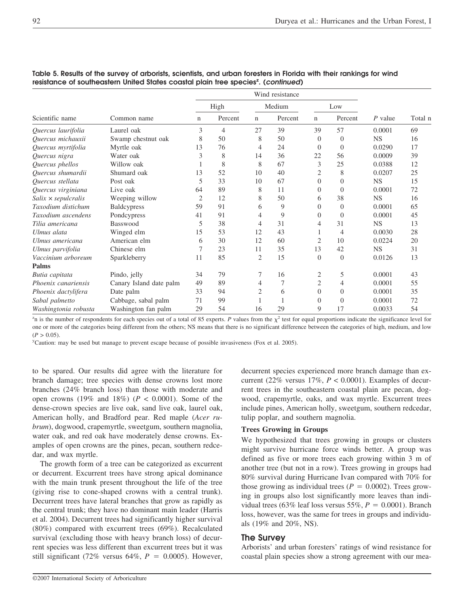|                            |                         | High           |                | Medium |         | Low            |                |           |         |
|----------------------------|-------------------------|----------------|----------------|--------|---------|----------------|----------------|-----------|---------|
| Scientific name            | Common name             | n              | Percent        | n      | Percent | $\mathbf n$    | Percent        | $P$ value | Total n |
| Quercus laurifolia         | Laurel oak              | 3              | $\overline{4}$ | 27     | 39      | 39             | 57             | 0.0001    | 69      |
| Quercus michauxii          | Swamp chestnut oak      | 8              | 50             | 8      | 50      | $\Omega$       | $\overline{0}$ | <b>NS</b> | 16      |
| Quercus myrtifolia         | Myrtle oak              | 13             | 76             | 4      | 24      | $\overline{0}$ | $\theta$       | 0.0290    | 17      |
| Quercus nigra              | Water oak               | 3              | 8              | 14     | 36      | 22             | 56             | 0.0009    | 39      |
| Quercus phellos            | Willow oak              |                | 8              | 8      | 67      | 3              | 25             | 0.0388    | 12      |
| Quercus shumardii          | Shumard oak             | 13             | 52             | 10     | 40      | 2              | 8              | 0.0207    | 25      |
| Quercus stellata           | Post oak                | 5              | 33             | 10     | 67      | $\Omega$       | $\theta$       | <b>NS</b> | 15      |
| Quercus virginiana         | Live oak                | 64             | 89             | 8      | 11      | $\Omega$       | $\theta$       | 0.0001    | 72      |
| $Salix \times sepulcralis$ | Weeping willow          | $\overline{2}$ | 12             | 8      | 50      | 6              | 38             | <b>NS</b> | 16      |
| Taxodium distichum         | <b>Baldcypress</b>      | 59             | 91             | 6      | 9       | $\Omega$       | $\theta$       | 0.0001    | 65      |
| Taxodium ascendens         | Pondcypress             | 41             | 91             | 4      | 9       | 0              | $\Omega$       | 0.0001    | 45      |
| Tilia americana            | Basswood                | 5              | 38             | 4      | 31      | $\overline{4}$ | 31             | <b>NS</b> | 13      |
| Ulmus alata                | Winged elm              | 15             | 53             | 12     | 43      |                | 4              | 0.0030    | 28      |
| Ulmus americana            | American elm            | 6              | 30             | 12     | 60      | $\overline{2}$ | 10             | 0.0224    | 20      |
| Ulmus parvifolia           | Chinese elm             | 7              | 23             | 11     | 35      | 13             | 42             | <b>NS</b> | 31      |
| Vaccinium arboreum         | Sparkleberry            | 11             | 85             | 2      | 15      | $\Omega$       | $\overline{0}$ | 0.0126    | 13      |
| Palms                      |                         |                |                |        |         |                |                |           |         |
| Butia capitata             | Pindo, jelly            | 34             | 79             | 7      | 16      | $\overline{2}$ | 5              | 0.0001    | 43      |
| Phoenix canariensis        | Canary Island date palm | 49             | 89             | 4      | 7       | $\overline{2}$ | 4              | 0.0001    | 55      |
| Phoenix dactylifera        | Date palm               | 33             | 94             | 2      | 6       | $\Omega$       | $\theta$       | 0.0001    | 35      |
| Sabal palmetto             | Cabbage, sabal palm     | 71             | 99             |        |         | $\Omega$       | $\theta$       | 0.0001    | 72      |
| Washingtonia robusta       | Washington fan palm     | 29             | 54             | 16     | 29      | 9              | 17             | 0.0033    | 54      |

## **Table 5. Results of the survey of arborists, scientists, and urban foresters in Florida with their rankings for wind** resistance of southeastern United States coastal plain tree species<sup>z</sup>. (*continued*)

 $z<sub>n</sub>$  is the number of respondents for each species out of a total of 85 experts. *P* values from the  $\chi^2$  test for equal proportions indicate the significance level for one or more of the categories being different from the others; NS means that there is no significant difference between the categories of high, medium, and low  $(P > 0.05)$ 

y Caution: may be used but manage to prevent escape because of possible invasiveness (Fox et al. 2005).

to be spared. Our results did agree with the literature for branch damage; tree species with dense crowns lost more branches (24% branch loss) than those with moderate and open crowns (19% and 18%) (*P* < 0.0001). Some of the dense-crown species are live oak, sand live oak, laurel oak, American holly, and Bradford pear. Red maple (*Acer rubrum*), dogwood, crapemyrtle, sweetgum, southern magnolia, water oak, and red oak have moderately dense crowns. Examples of open crowns are the pines, pecan, southern redcedar, and wax myrtle.

The growth form of a tree can be categorized as excurrent or decurrent. Excurrent trees have strong apical dominance with the main trunk present throughout the life of the tree (giving rise to cone-shaped crowns with a central trunk). Decurrent trees have lateral branches that grow as rapidly as the central trunk; they have no dominant main leader (Harris et al. 2004). Decurrent trees had significantly higher survival (80%) compared with excurrent trees (69%). Recalculated survival (excluding those with heavy branch loss) of decurrent species was less different than excurrent trees but it was still significant (72% versus 64%,  $P = 0.0005$ ). However, decurrent species experienced more branch damage than excurrent (22% versus 17%, *P* < 0.0001). Examples of decurrent trees in the southeastern coastal plain are pecan, dogwood, crapemyrtle, oaks, and wax myrtle. Excurrent trees include pines, American holly, sweetgum, southern redcedar, tulip poplar, and southern magnolia.

## **Trees Growing in Groups**

We hypothesized that trees growing in groups or clusters might survive hurricane force winds better. A group was defined as five or more trees each growing within 3 m of another tree (but not in a row). Trees growing in groups had 80% survival during Hurricane Ivan compared with 70% for those growing as individual trees  $(P = 0.0002)$ . Trees growing in groups also lost significantly more leaves than individual trees (63% leaf loss versus 55%,  $P = 0.0001$ ). Branch loss, however, was the same for trees in groups and individuals (19% and 20%, NS).

## **The Survey**

Arborists' and urban foresters' ratings of wind resistance for coastal plain species show a strong agreement with our mea-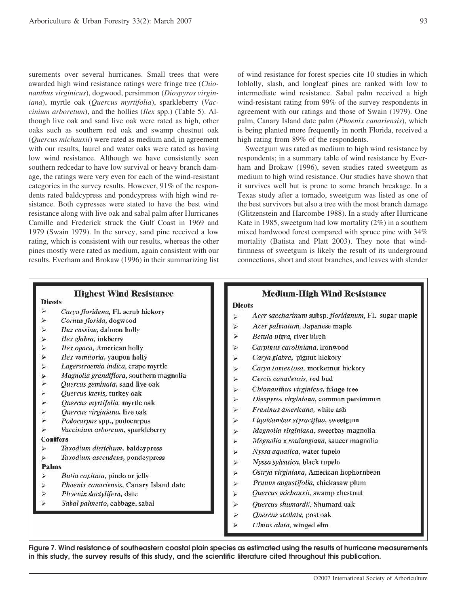surements over several hurricanes. Small trees that were awarded high wind resistance ratings were fringe tree (*Chionanthus virginicus*), dogwood, persimmon (*Diospyros virginiana*), myrtle oak (*Quercus myrtifolia*), sparkleberry (*Vaccinium arboretum*), and the hollies (*Ilex* spp.) (Table 5). Although live oak and sand live oak were rated as high, other oaks such as southern red oak and swamp chestnut oak (*Quercus michauxii*) were rated as medium and, in agreement with our results, laurel and water oaks were rated as having low wind resistance. Although we have consistently seen southern redcedar to have low survival or heavy branch damage, the ratings were very even for each of the wind-resistant categories in the survey results. However, 91% of the respondents rated baldcypress and pondcypress with high wind resistance. Both cypresses were stated to have the best wind resistance along with live oak and sabal palm after Hurricanes Camille and Frederick struck the Gulf Coast in 1969 and 1979 (Swain 1979). In the survey, sand pine received a low rating, which is consistent with our results, whereas the other pines mostly were rated as medium, again consistent with our results. Everham and Brokaw (1996) in their summarizing list of wind resistance for forest species cite 10 studies in which loblolly, slash, and longleaf pines are ranked with low to intermediate wind resistance. Sabal palm received a high wind-resistant rating from 99% of the survey respondents in agreement with our ratings and those of Swain (1979). One palm, Canary Island date palm (*Phoenix canariensis*), which is being planted more frequently in north Florida, received a high rating from 89% of the respondents.

Sweetgum was rated as medium to high wind resistance by respondents; in a summary table of wind resistance by Everham and Brokaw (1996), seven studies rated sweetgum as medium to high wind resistance. Our studies have shown that it survives well but is prone to some branch breakage. In a Texas study after a tornado, sweetgum was listed as one of the best survivors but also a tree with the most branch damage (Glitzenstein and Harcombe 1988). In a study after Hurricane Kate in 1985, sweetgum had low mortality (2%) in a southern mixed hardwood forest compared with spruce pine with 34% mortality (Batista and Platt 2003). They note that windfirmness of sweetgum is likely the result of its underground connections, short and stout branches, and leaves with slender

|                                                     | <b>Highest Wind Resistance</b>                                                                                                                                                                                                                                                                                                                                        | <b>Medium-High Wind Resistance</b>                                                                                                                                                                                                                                                                                                                                                   |
|-----------------------------------------------------|-----------------------------------------------------------------------------------------------------------------------------------------------------------------------------------------------------------------------------------------------------------------------------------------------------------------------------------------------------------------------|--------------------------------------------------------------------------------------------------------------------------------------------------------------------------------------------------------------------------------------------------------------------------------------------------------------------------------------------------------------------------------------|
| <b>Dicots</b>                                       |                                                                                                                                                                                                                                                                                                                                                                       | <b>Dicots</b>                                                                                                                                                                                                                                                                                                                                                                        |
| 乡<br>笋<br>⊁<br>⊁<br>⋟<br>⊁<br>乡<br>⊁<br>乡<br>⋗<br>声 | Carya floridana, FL scrub hickory<br>Cornus florida, dogwood<br>Ilex cassine, dahoon holly<br>Ilex glabra, inkberry<br>Ilex opaca, American holly<br>Ilex vomitoria, yaupon holly<br>Lagerstroemia indica, crape myrtle<br>Magnolia grandiflora, southern magnolia<br>Quercus geminata, sand live oak<br>Quercus laevis, turkey oak<br>Quercus myrtifolia, myrtle oak | Acer saccharinum subsp. floridanum, FL sugar maple<br>笋<br>٧<br>Acer palmatum, Japanese maple<br>¥<br>Betula nigra, river birch<br>Carpinus caroliniana, ironwood<br>⋟<br>⊁<br>Carya glabra, pignut hickory<br>Carya tomentosa, mockernut hickory<br>⋗<br>Cercis canadensis, red bud<br>⋟<br>Chionanthus virginicus, fringe tree<br>⋗<br>Diospyros virginiana, common persimmon<br>⋗ |
| $\frac{1}{\lambda}$<br>⋗                            | Quercus virginiana, live oak<br>Podocarpus spp., podocarpus<br>Vaccinium arboreum, sparkleberry<br><b>Conifers</b>                                                                                                                                                                                                                                                    | ⋗<br>Fraxinus americana, white ash<br>Liquidambar styraciflua, sweetgum<br>⋗<br>Magnolia virginiana, sweetbay magnolia<br>シ<br>⋗<br>Magnolia x soulangiana, saucer magnolia                                                                                                                                                                                                          |
| ≫<br>⋗<br>Palms                                     | Taxodium distichum, baldcypress<br>Taxodium ascendens, pondcypress                                                                                                                                                                                                                                                                                                    | Nyssa aquatica, water tupelo<br>⋟<br>笋<br>Nyssa sylvatica, black tupelo                                                                                                                                                                                                                                                                                                              |
| ۷<br>字<br>⊁<br>⊁                                    | Butia capitata, pindo or jelly<br>Phoenix canariensis, Canary Island date<br>Phoenix dactylifera, date<br>Sabal palmetto, cabbage, sabal                                                                                                                                                                                                                              | $\ddot{\phantom{1}}$<br>Ostrya virginiana, American hophornbean<br>Prunus angustifolia, chickasaw plum<br>⋗<br>Quercus michauxii, swamp chestnut<br>⋟<br>⋗<br>Quercus shumardii, Shumard oak<br>۶<br>Quercus stellata, post oak                                                                                                                                                      |
|                                                     |                                                                                                                                                                                                                                                                                                                                                                       | ٤<br>Ulmus alata, winged elm                                                                                                                                                                                                                                                                                                                                                         |

**Figure 7. Wind resistance of southeastern coastal plain species as estimated using the results of hurricane measurements in this study, the survey results of this study, and the scientific literature cited throughout this publication.**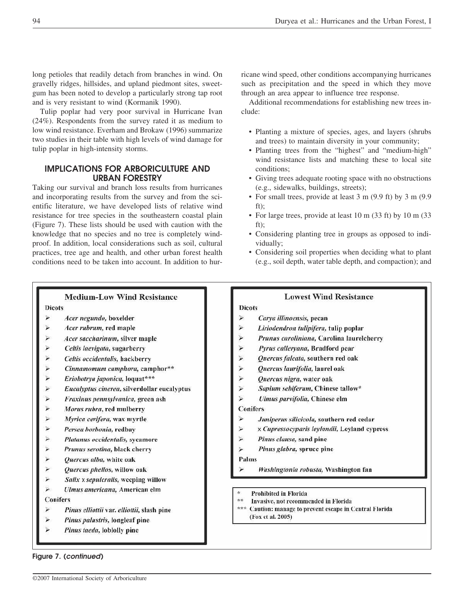long petioles that readily detach from branches in wind. On gravelly ridges, hillsides, and upland piedmont sites, sweetgum has been noted to develop a particularly strong tap root and is very resistant to wind (Kormanik 1990).

Tulip poplar had very poor survival in Hurricane Ivan (24%). Respondents from the survey rated it as medium to low wind resistance. Everham and Brokaw (1996) summarize two studies in their table with high levels of wind damage for tulip poplar in high-intensity storms.

# **IMPLICATIONS FOR ARBORICULTURE AND URBAN FORESTRY**

Taking our survival and branch loss results from hurricanes and incorporating results from the survey and from the scientific literature, we have developed lists of relative wind resistance for tree species in the southeastern coastal plain (Figure 7). These lists should be used with caution with the knowledge that no species and no tree is completely windproof. In addition, local considerations such as soil, cultural practices, tree age and health, and other urban forest health conditions need to be taken into account. In addition to hur-

ricane wind speed, other conditions accompanying hurricanes such as precipitation and the speed in which they move through an area appear to influence tree response.

Additional recommendations for establishing new trees include:

- Planting a mixture of species, ages, and layers (shrubs and trees) to maintain diversity in your community;
- Planting trees from the "highest" and "medium-high" wind resistance lists and matching these to local site conditions;
- Giving trees adequate rooting space with no obstructions (e.g., sidewalks, buildings, streets);
- For small trees, provide at least 3 m (9.9 ft) by 3 m (9.9 ft);
- For large trees, provide at least 10 m (33 ft) by 10 m (33) ft);
- Considering planting tree in groups as opposed to individually;
- Considering soil properties when deciding what to plant (e.g., soil depth, water table depth, and compaction); and

**Lowest Wind Resistance** 

# **Medium-Low Wind Resistance**

**Dicots** 

- ⊁ Acer negundo, boxelder
- $\ddot{}$ Acer rubrum, red maple
- ¥ Acer saccharinum, silver maple
- ⋗ Celtis laevigata, sugarberry
- ⊁ Celtis occidentalis, hackberry
- ≯ Cinnamomum camphora, camphor\*\*
- ⊁ Eriohotrya japonica, loquat\*\*\*
- 声 Eucalyptus cinerea, silverdollar eucalyptus
- $\checkmark$ Fraxinus pennsylvanica, green ash
- $\checkmark$ Morus rubra, red mulberry
- × Myrica cerifera, wax myrtle
- ⋗ Persea horbonia, redbay
- × Platanus occidentalis, sycamore
- × Prunus serotina, black cherry
- × Quercus alba, white oak
- 笋 Quercus phellos, willow oak
- 运 Salix x sepulcralis, weeping willow
- $\ddot{\blacktriangleright}$ Ulmus americana, American elm

**Conifers** 

- ⊁ Pinus elliottii var. elliottii, slash pine
- ⊁ Pinus palustris, longleaf pine
- Ý. Pinus taeda, loblolly pine

## **Figure 7. (***continued***)**

#### Quercus falcata, southern red oak

Carya illinoensis, pecan

Liriodendron tulipifera, tulip poplar

Pyrus calleryana, Bradford pear

Prunus caroliniana, Carolina laurelcherry

- ⋗ Quercus laurifolia, laurel oak
- Þ Quercus nigra, water oak
- 芦 Sapium sebiferum, Chinese tallow\*
- $\ddot{ }$ Ulmus parvifolia, Chinese elm

#### **Conifers**

**Dicots** 

¥

 $\blacktriangleright$ 

⋗

义

- ⋗ Juniperus silicicola, southern red cedar
- Þ x Cupressocyparis leylandii, Leyland cypress
- ¥ Pinus clausa, sand pine
- $\ddot{\star}$ Pinus glabra, spruce pine

## Palms

- Washingtonia robusta, Washington fan
- Prohibited in Florida
- $+ +$ Invasive, not recommended in Florida
- 素素素 Caution: manage to prevent escape in Central Florida (Fox et al. 2005)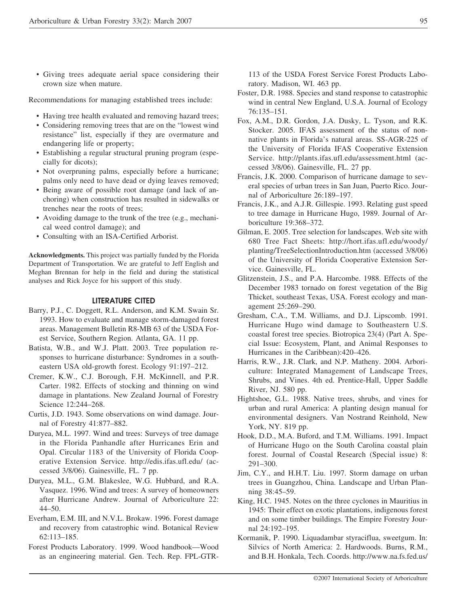• Giving trees adequate aerial space considering their crown size when mature.

Recommendations for managing established trees include:

- Having tree health evaluated and removing hazard trees;
- Considering removing trees that are on the "lowest wind resistance" list, especially if they are overmature and endangering life or property;
- Establishing a regular structural pruning program (especially for dicots);
- Not overpruning palms, especially before a hurricane; palms only need to have dead or dying leaves removed;
- Being aware of possible root damage (and lack of anchoring) when construction has resulted in sidewalks or trenches near the roots of trees;
- Avoiding damage to the trunk of the tree (e.g., mechanical weed control damage); and
- Consulting with an ISA-Certified Arborist.

**Acknowledgments.** This project was partially funded by the Florida Department of Transportation. We are grateful to Jeff English and Meghan Brennan for help in the field and during the statistical analyses and Rick Joyce for his support of this study.

#### **LITERATURE CITED**

- Barry, P.J., C. Doggett, R.L. Anderson, and K.M. Swain Sr. 1993. How to evaluate and manage storm-damaged forest areas. Management Bulletin R8-MB 63 of the USDA Forest Service, Southern Region. Atlanta, GA. 11 pp.
- Batista, W.B., and W.J. Platt. 2003. Tree population responses to hurricane disturbance: Syndromes in a southeastern USA old-growth forest. Ecology 91:197–212.
- Cremer, K.W., C.J. Borough, F.H. McKinnell, and P.R. Carter. 1982. Effects of stocking and thinning on wind damage in plantations. New Zealand Journal of Forestry Science 12:244–268.
- Curtis, J.D. 1943. Some observations on wind damage. Journal of Forestry 41:877–882.
- Duryea, M.L. 1997. Wind and trees: Surveys of tree damage in the Florida Panhandle after Hurricanes Erin and Opal. Circular 1183 of the University of Florida Cooperative Extension Service. http://edis.ifas.ufl.edu/ (accessed 3/8/06). Gainesville, FL. 7 pp.
- Duryea, M.L., G.M. Blakeslee, W.G. Hubbard, and R.A. Vasquez. 1996. Wind and trees: A survey of homeowners after Hurricane Andrew. Journal of Arboriculture 22: 44–50.
- Everham, E.M. III, and N.V.L. Brokaw. 1996. Forest damage and recovery from catastrophic wind. Botanical Review 62:113–185.
- Forest Products Laboratory. 1999. Wood handbook—Wood as an engineering material. Gen. Tech. Rep. FPL-GTR-

113 of the USDA Forest Service Forest Products Laboratory. Madison, WI. 463 pp.

- Foster, D.R. 1988. Species and stand response to catastrophic wind in central New England, U.S.A. Journal of Ecology 76:135–151.
- Fox, A.M., D.R. Gordon, J.A. Dusky, L. Tyson, and R.K. Stocker. 2005. IFAS assessment of the status of nonnative plants in Florida's natural areas. SS-AGR-225 of the University of Florida IFAS Cooperative Extension Service. http://plants.ifas.ufl.edu/assessment.html (accessed 3/8/06). Gainesville, FL. 27 pp.
- Francis, J.K. 2000. Comparison of hurricane damage to several species of urban trees in San Juan, Puerto Rico. Journal of Arboriculture 26:189–197.
- Francis, J.K., and A.J.R. Gillespie. 1993. Relating gust speed to tree damage in Hurricane Hugo, 1989. Journal of Arboriculture 19:368–372.
- Gilman, E. 2005. Tree selection for landscapes. Web site with 680 Tree Fact Sheets: http://hort.ifas.ufl.edu/woody/ planting/TreeSelectionIntroduction.htm (accessed 3/8/06) of the University of Florida Cooperative Extension Service. Gainesville, FL.
- Glitzenstein, J.S., and P.A. Harcombe. 1988. Effects of the December 1983 tornado on forest vegetation of the Big Thicket, southeast Texas, USA. Forest ecology and management 25:269–290.
- Gresham, C.A., T.M. Williams, and D.J. Lipscomb. 1991. Hurricane Hugo wind damage to Southeastern U.S. coastal forest tree species. Biotropica 23(4) (Part A. Special Issue: Ecosystem, Plant, and Animal Responses to Hurricanes in the Caribbean):420–426.
- Harris, R.W., J.R. Clark, and N.P. Matheny. 2004. Arboriculture: Integrated Management of Landscape Trees, Shrubs, and Vines. 4th ed. Prentice-Hall, Upper Saddle River, NJ. 580 pp.
- Hightshoe, G.L. 1988. Native trees, shrubs, and vines for urban and rural America: A planting design manual for environmental designers. Van Nostrand Reinhold, New York, NY. 819 pp.
- Hook, D.D., M.A. Buford, and T.M. Williams. 1991. Impact of Hurricane Hugo on the South Carolina coastal plain forest. Journal of Coastal Research (Special issue) 8: 291–300.
- Jim, C.Y., and H.H.T. Liu. 1997. Storm damage on urban trees in Guangzhou, China. Landscape and Urban Planning 38:45–59.
- King, H.C. 1945. Notes on the three cyclones in Mauritius in 1945: Their effect on exotic plantations, indigenous forest and on some timber buildings. The Empire Forestry Journal 24:192–195.
- Kormanik, P. 1990. Liquadambar styraciflua, sweetgum. In: Silvics of North America: 2. Hardwoods. Burns, R.M., and B.H. Honkala, Tech. Coords. http://www.na.fs.fed.us/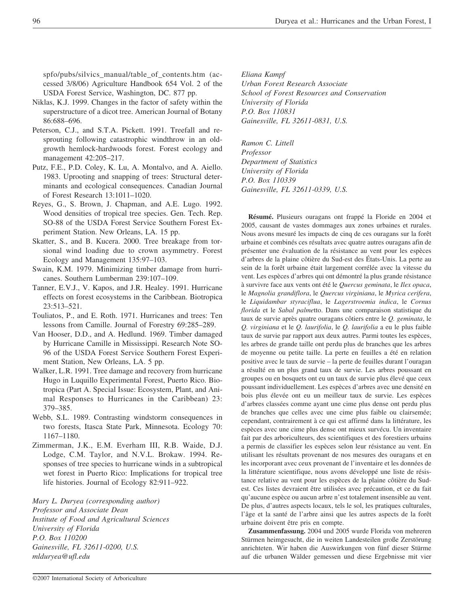spfo/pubs/silvics\_manual/table\_of\_contents.htm (accessed 3/8/06) Agriculture Handbook 654 Vol. 2 of the USDA Forest Service, Washington, DC. 877 pp.

- Niklas, K.J. 1999. Changes in the factor of safety within the superstructure of a dicot tree. American Journal of Botany 86:688–696.
- Peterson, C.J., and S.T.A. Pickett. 1991. Treefall and resprouting following catastrophic windthrow in an oldgrowth hemlock-hardwoods forest. Forest ecology and management 42:205–217.
- Putz, F.E., P.D. Coley, K. Lu, A. Montalvo, and A. Aiello. 1983. Uprooting and snapping of trees: Structural determinants and ecological consequences. Canadian Journal of Forest Research 13:1011–1020.
- Reyes, G., S. Brown, J. Chapman, and A.E. Lugo. 1992. Wood densities of tropical tree species. Gen. Tech. Rep. SO-88 of the USDA Forest Service Southern Forest Experiment Station. New Orleans, LA. 15 pp.
- Skatter, S., and B. Kucera. 2000. Tree breakage from torsional wind loading due to crown asymmetry. Forest Ecology and Management 135:97–103.
- Swain, K.M. 1979. Minimizing timber damage from hurricanes. Southern Lumberman 239:107–109.
- Tanner, E.V.J., V. Kapos, and J.R. Healey. 1991. Hurricane effects on forest ecosystems in the Caribbean. Biotropica 23:513–521.
- Touliatos, P., and E. Roth. 1971. Hurricanes and trees: Ten lessons from Camille. Journal of Forestry 69:285–289.
- Van Hooser, D.D., and A. Hedlund. 1969. Timber damaged by Hurricane Camille in Mississippi. Research Note SO-96 of the USDA Forest Service Southern Forest Experiment Station, New Orleans, LA. 5 pp.
- Walker, L.R. 1991. Tree damage and recovery from hurricane Hugo in Luquillo Experimental Forest, Puerto Rico. Biotropica (Part A. Special Issue: Ecosystem, Plant, and Animal Responses to Hurricanes in the Caribbean) 23: 379–385.
- Webb, S.L. 1989. Contrasting windstorm consequences in two forests, Itasca State Park, Minnesota. Ecology 70: 1167–1180.
- Zimmerman, J.K., E.M. Everham III, R.B. Waide, D.J. Lodge, C.M. Taylor, and N.V.L. Brokaw. 1994. Responses of tree species to hurricane winds in a subtropical wet forest in Puerto Rico: Implications for tropical tree life histories. Journal of Ecology 82:911–922.

*Mary L. Duryea (corresponding author) Professor and Associate Dean Institute of Food and Agricultural Sciences University of Florida P.O. Box 110200 Gainesville, FL 32611-0200, U.S. mlduryea@ufl.edu*

*Eliana Kampf Urban Forest Research Associate School of Forest Resources and Conservation University of Florida P.O. Box 110831 Gainesville, FL 32611-0831, U.S.*

*Ramon C. Littell Professor Department of Statistics University of Florida P.O. Box 110339 Gainesville, FL 32611-0339, U.S.*

**Résumé.** Plusieurs ouragans ont frappé la Floride en 2004 et 2005, causant de vastes dommages aux zones urbaines et rurales. Nous avons mesuré les impacts de cinq de ces ouragans sur la forêt urbaine et combinés ces résultats avec quatre autres ouragans afin de présenter une évaluation de la résistance au vent pour les espèces d'arbres de la plaine côtière du Sud-est des États-Unis. La perte au sein de la forêt urbaine était largement corrélée avec la vitesse du vent. Les espèces d'arbres qui ont démontré la plus grande résistance à survivre face aux vents ont été le *Quercus geminata*, le *Ilex opaca*, le *Magnolia grandiflora*, le *Quercus virginiana*, le *Myrica cerifera*, le *Liquidambar styraciflua*, le *Lagerstroemia indica*, le *Cornus florida* et le *Sabal palme*tto. Dans une comparaison statistique du taux de survie après quatre ouragans côtiers entre le *Q. geminata*, le *Q. virginiana* et le *Q. laurifolia*, le *Q. laurifolia* a eu le plus faible taux de survie par rapport aux deux autres. Parmi toutes les espèces, les arbres de grande taille ont perdu plus de branches que les arbres de moyenne ou petite taille. La perte en feuilles a été en relation positive avec le taux de survie – la perte de feuilles durant l'ouragan a résulté en un plus grand taux de survie. Les arbres poussant en groupes ou en bosquets ont eu un taux de survie plus élevé que ceux poussant individuellement. Les espèces d'arbres avec une densité en bois plus élevée ont eu un meilleur taux de survie. Les espèces d'arbres classées comme ayant une cime plus dense ont perdu plus de branches que celles avec une cime plus faible ou clairsemée; cependant, contrairement à ce qui est affirmé dans la littérature, les espèces avec une cime plus dense ont mieux survécu. Un inventaire fait par des arboriculteurs, des scientifiques et des forestiers urbains a permis de classifier les espèces selon leur résistance au vent. En utilisant les résultats provenant de nos mesures des ouragans et en les incorporant avec ceux provenant de l'inventaire et les données de la littérature scientifique, nous avons développé une liste de résistance relative au vent pour les espèces de la plaine côtière du Sudest. Ces listes devraient être utilisées avec précaution, et ce du fait qu'aucune espèce ou aucun arbre n'est totalement insensible au vent. De plus, d'autres aspects locaux, tels le sol, les pratiques culturales, l'âge et la santé de l'arbre ainsi que les autres aspects de la forêt urbaine doivent être pris en compte.

**Zusammenfassung.** 2004 und 2005 wurde Florida von mehreren Stürmen heimgesucht, die in weiten Landesteilen große Zerstörung anrichteten. Wir haben die Auswirkungen von fünf dieser Stürme auf die urbanen Wälder gemessen und diese Ergebnisse mit vier